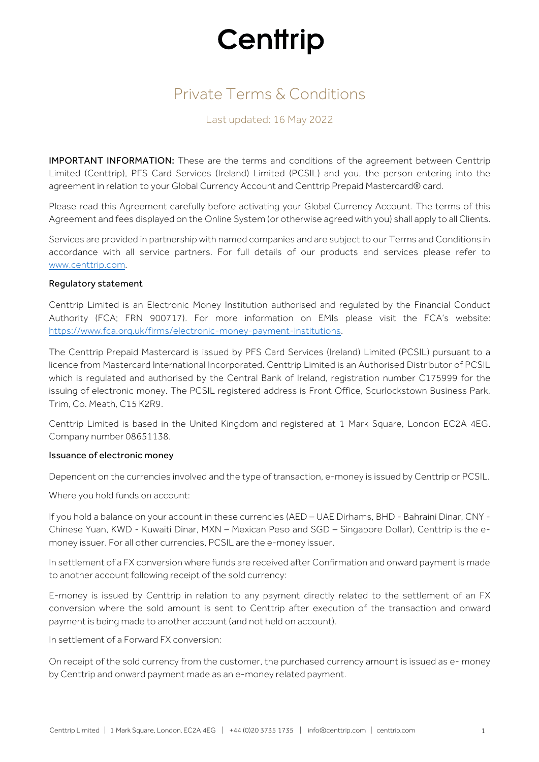# Private Terms & Conditions

### Last updated: 16 May 2022

IMPORTANT INFORMATION: These are the terms and conditions of the agreement between Centtrip Limited (Centtrip), PFS Card Services (Ireland) Limited (PCSIL) and you, the person entering into the agreement in relation to your Global Currency Account and Centtrip Prepaid Mastercard® card.

Please read this Agreement carefully before activating your Global Currency Account. The terms of this Agreement and fees displayed on the Online System (or otherwise agreed with you) shall apply to all Clients.

Services are provided in partnership with named companies and are subject to our Terms and Conditions in accordance with all service partners. For full details of our products and services please refer to www.centtrip.com.

#### Regulatory statement

Centtrip Limited is an Electronic Money Institution authorised and regulated by the Financial Conduct Authority (FCA; FRN 900717). For more information on EMIs please visit the FCA's website: https://www.fca.org.uk/firms/electronic-money-payment-institutions.

The Centtrip Prepaid Mastercard is issued by PFS Card Services (Ireland) Limited (PCSIL) pursuant to a licence from Mastercard International Incorporated. Centtrip Limited is an Authorised Distributor of PCSIL which is regulated and authorised by the Central Bank of Ireland, registration number C175999 for the issuing of electronic money. The PCSIL registered address is Front Office, Scurlockstown Business Park, Trim, Co. Meath, C15 K2R9.

Centtrip Limited is based in the United Kingdom and registered at 1 Mark Square, London EC2A 4EG. Company number 08651138.

#### Issuance of electronic money

Dependent on the currencies involved and the type of transaction, e-money is issued by Centtrip or PCSIL.

Where you hold funds on account:

If you hold a balance on your account in these currencies (AED – UAE Dirhams, BHD - Bahraini Dinar, CNY - Chinese Yuan, KWD - Kuwaiti Dinar, MXN – Mexican Peso and SGD – Singapore Dollar), Centtrip is the emoney issuer. For all other currencies, PCSIL are the e-money issuer.

In settlement of a FX conversion where funds are received after Confirmation and onward payment is made to another account following receipt of the sold currency:

E-money is issued by Centtrip in relation to any payment directly related to the settlement of an FX conversion where the sold amount is sent to Centtrip after execution of the transaction and onward payment is being made to another account (and not held on account).

In settlement of a Forward FX conversion:

On receipt of the sold currency from the customer, the purchased currency amount is issued as e- money by Centtrip and onward payment made as an e-money related payment.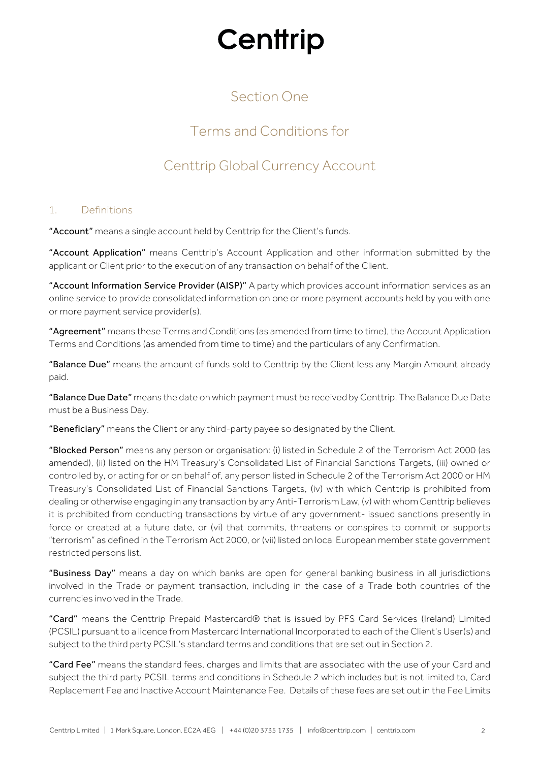# Section One

# Terms and Conditions for

## Centtrip Global Currency Account

### 1. Definitions

"Account" means a single account held by Centtrip for the Client's funds.

"Account Application" means Centtrip's Account Application and other information submitted by the applicant or Client prior to the execution of any transaction on behalf of the Client.

"Account Information Service Provider (AISP)" A party which provides account information services as an online service to provide consolidated information on one or more payment accounts held by you with one or more payment service provider(s).

"Agreement" means these Terms and Conditions (as amended from time to time), the Account Application Terms and Conditions (as amended from time to time) and the particulars of any Confirmation.

"Balance Due" means the amount of funds sold to Centtrip by the Client less any Margin Amount already paid.

"Balance Due Date" means the date on which payment must be received by Centtrip. The Balance Due Date must be a Business Day.

"Beneficiary" means the Client or any third-party payee so designated by the Client.

"Blocked Person" means any person or organisation: (i) listed in Schedule 2 of the Terrorism Act 2000 (as amended), (ii) listed on the HM Treasury's Consolidated List of Financial Sanctions Targets, (iii) owned or controlled by, or acting for or on behalf of, any person listed in Schedule 2 of the Terrorism Act 2000 or HM Treasury's Consolidated List of Financial Sanctions Targets, (iv) with which Centtrip is prohibited from dealing or otherwise engaging in any transaction by any Anti-Terrorism Law, (v) with whom Centtrip believes it is prohibited from conducting transactions by virtue of any government- issued sanctions presently in force or created at a future date, or (vi) that commits, threatens or conspires to commit or supports "terrorism" as defined in the Terrorism Act 2000, or (vii) listed on local European member state government restricted persons list.

"Business Day" means a day on which banks are open for general banking business in all jurisdictions involved in the Trade or payment transaction, including in the case of a Trade both countries of the currencies involved in the Trade.

"Card" means the Centtrip Prepaid Mastercard® that is issued by PFS Card Services (Ireland) Limited (PCSIL) pursuant to a licence from Mastercard International Incorporated to each of the Client's User(s) and subject to the third party PCSIL's standard terms and conditions that are set out in Section 2.

"Card Fee" means the standard fees, charges and limits that are associated with the use of your Card and subject the third party PCSIL terms and conditions in Schedule 2 which includes but is not limited to, Card Replacement Fee and Inactive Account Maintenance Fee. Details of these fees are set out in the Fee Limits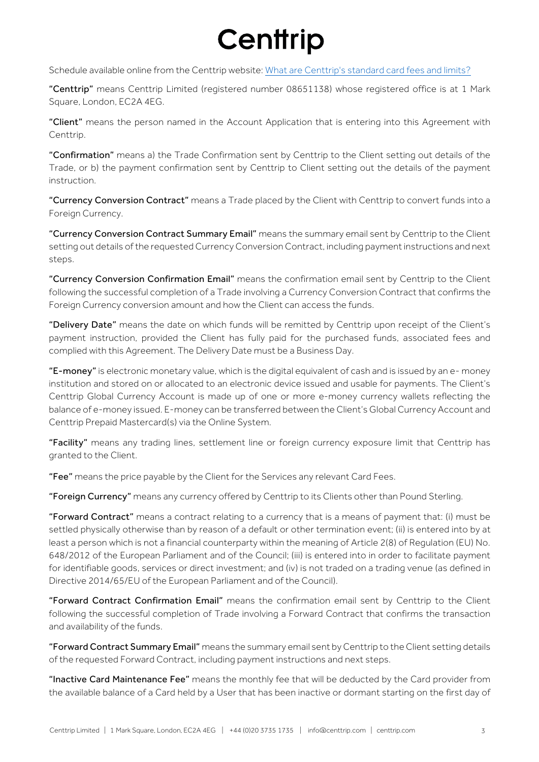Schedule available online from the Centtrip website: What are [Centtrip's](https://support.centtrip.com/faqs/what-are-your-card-fees) standard card fees and limits?

"Centtrip" means Centtrip Limited (registered number 08651138) whose registered office is at 1 Mark Square, London, EC2A 4EG.

"Client" means the person named in the Account Application that is entering into this Agreement with Centtrip.

"Confirmation" means a) the Trade Confirmation sent by Centtrip to the Client setting out details of the Trade, or b) the payment confirmation sent by Centtrip to Client setting out the details of the payment instruction.

"Currency Conversion Contract" means a Trade placed by the Client with Centtrip to convert funds into a Foreign Currency.

"Currency Conversion Contract Summary Email" means the summary email sent by Centtrip to the Client setting out details of the requested Currency Conversion Contract, including payment instructions and next steps.

"Currency Conversion Confirmation Email" means the confirmation email sent by Centtrip to the Client following the successful completion of a Trade involving a Currency Conversion Contract that confirms the Foreign Currency conversion amount and how the Client can access the funds.

"Delivery Date" means the date on which funds will be remitted by Centtrip upon receipt of the Client's payment instruction, provided the Client has fully paid for the purchased funds, associated fees and complied with this Agreement. The Delivery Date must be a Business Day.

"E-money" is electronic monetary value, which is the digital equivalent of cash and is issued by an e-money institution and stored on or allocated to an electronic device issued and usable for payments. The Client's Centtrip Global Currency Account is made up of one or more e-money currency wallets reflecting the balance of e-money issued. E-money can be transferred between the Client's Global Currency Account and Centtrip Prepaid Mastercard(s) via the Online System.

"Facility" means any trading lines, settlement line or foreign currency exposure limit that Centtrip has granted to the Client.

"Fee" means the price payable by the Client for the Services any relevant Card Fees.

"Foreign Currency" means any currency offered by Centtrip to its Clients other than Pound Sterling.

"Forward Contract" means a contract relating to a currency that is a means of payment that: (i) must be settled physically otherwise than by reason of a default or other termination event; (ii) is entered into by at least a person which is not a financial counterparty within the meaning of Article 2(8) of Regulation (EU) No. 648/2012 of the European Parliament and of the Council; (iii) is entered into in order to facilitate payment for identifiable goods, services or direct investment; and (iv) is not traded on a trading venue (as defined in Directive 2014/65/EU of the European Parliament and of the Council).

"Forward Contract Confirmation Email" means the confirmation email sent by Centtrip to the Client following the successful completion of Trade involving a Forward Contract that confirms the transaction and availability of the funds.

"Forward Contract Summary Email" means the summary email sent by Centtrip to the Client setting details of the requested Forward Contract, including payment instructions and next steps.

"Inactive Card Maintenance Fee" means the monthly fee that will be deducted by the Card provider from the available balance of a Card held by a User that has been inactive or dormant starting on the first day of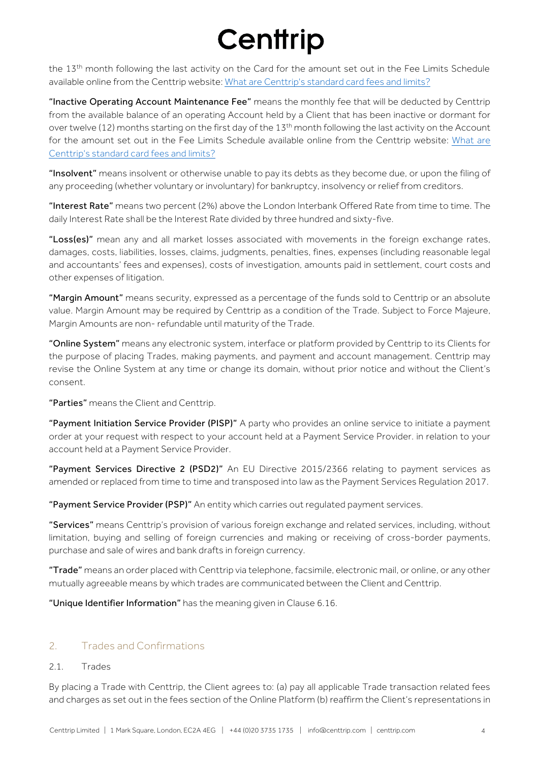the 13<sup>th</sup> month following the last activity on the Card for the amount set out in the Fee Limits Schedule available online from the Centtrip website: What are [Centtrip's](https://support.centtrip.com/faqs/what-are-your-card-fees) standard card fees and limits?

"Inactive Operating Account Maintenance Fee" means the monthly fee that will be deducted by Centtrip from the available balance of an operating Account held by a Client that has been inactive or dormant for over twelve (12) months starting on the first day of the 13<sup>th</sup> month following the last activity on the Account for the amount set out in the Fee Limits Schedule available online from the Centtrip website: What are [Centtrip's standard card fees and limits?](https://support.centtrip.com/faqs/what-are-your-card-fees)

"Insolvent" means insolvent or otherwise unable to pay its debts as they become due, or upon the filing of any proceeding (whether voluntary or involuntary) for bankruptcy, insolvency or relief from creditors.

"Interest Rate" means two percent (2%) above the London Interbank Offered Rate from time to time. The daily Interest Rate shall be the Interest Rate divided by three hundred and sixty-five.

"Loss(es)" mean any and all market losses associated with movements in the foreign exchange rates, damages, costs, liabilities, losses, claims, judgments, penalties, fines, expenses (including reasonable legal and accountants' fees and expenses), costs of investigation, amounts paid in settlement, court costs and other expenses of litigation.

"Margin Amount" means security, expressed as a percentage of the funds sold to Centtrip or an absolute value. Margin Amount may be required by Centtrip as a condition of the Trade. Subject to Force Majeure, Margin Amounts are non- refundable until maturity of the Trade.

"Online System" means any electronic system, interface or platform provided by Centtrip to its Clients for the purpose of placing Trades, making payments, and payment and account management. Centtrip may revise the Online System at any time or change its domain, without prior notice and without the Client's consent.

"Parties" means the Client and Centtrip.

"Payment Initiation Service Provider (PISP)" A party who provides an online service to initiate a payment order at your request with respect to your account held at a Payment Service Provider. in relation to your account held at a Payment Service Provider.

"Payment Services Directive 2 (PSD2)" An EU Directive 2015/2366 relating to payment services as amended or replaced from time to time and transposed into law as the Payment Services Regulation 2017.

"Payment Service Provider (PSP)" An entity which carries out regulated payment services.

"Services" means Centtrip's provision of various foreign exchange and related services, including, without limitation, buying and selling of foreign currencies and making or receiving of cross-border payments, purchase and sale of wires and bank drafts in foreign currency.

"Trade" means an order placed with Centtrip via telephone, facsimile, electronic mail, or online, or any other mutually agreeable means by which trades are communicated between the Client and Centtrip.

"Unique Identifier Information" has the meaning given in Clause 6.16.

### 2. Trades and Confirmations

### 2.1. Trades

By placing a Trade with Centtrip, the Client agrees to: (a) pay all applicable Trade transaction related fees and charges as set out in the fees section of the Online Platform (b) reaffirm the Client's representations in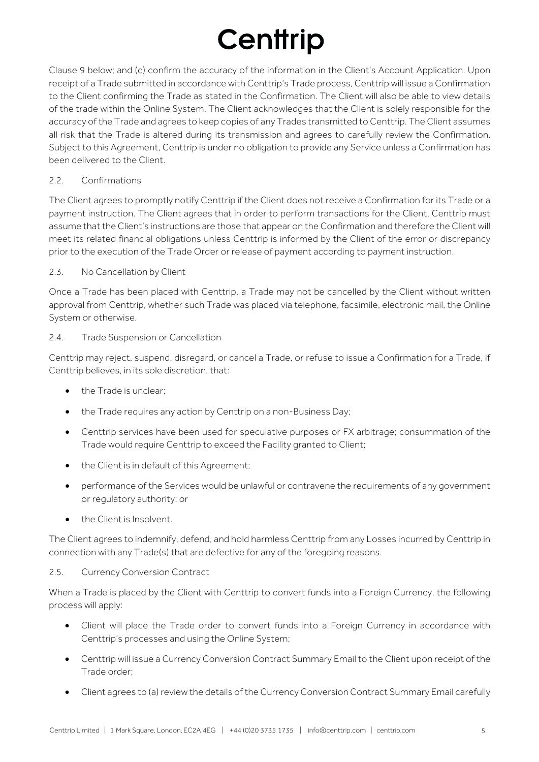Clause 9 below; and (c) confirm the accuracy of the information in the Client's Account Application. Upon receipt of a Trade submitted in accordance with Centtrip's Trade process, Centtrip will issue a Confirmation to the Client confirming the Trade as stated in the Confirmation. The Client will also be able to view details of the trade within the Online System. The Client acknowledges that the Client is solely responsible for the accuracy of the Trade and agrees to keep copies of any Trades transmitted to Centtrip. The Client assumes all risk that the Trade is altered during its transmission and agrees to carefully review the Confirmation. Subject to this Agreement, Centtrip is under no obligation to provide any Service unless a Confirmation has been delivered to the Client.

### 2.2. Confirmations

The Client agrees to promptly notify Centtrip if the Client does not receive a Confirmation for its Trade or a payment instruction. The Client agrees that in order to perform transactions for the Client, Centtrip must assume that the Client's instructions are those that appear on the Confirmation and therefore the Client will meet its related financial obligations unless Centtrip is informed by the Client of the error or discrepancy prior to the execution of the Trade Order or release of payment according to payment instruction.

### 2.3. No Cancellation by Client

Once a Trade has been placed with Centtrip, a Trade may not be cancelled by the Client without written approval from Centtrip, whether such Trade was placed via telephone, facsimile, electronic mail, the Online System or otherwise.

### 2.4. Trade Suspension or Cancellation

Centtrip may reject, suspend, disregard, or cancel a Trade, or refuse to issue a Confirmation for a Trade, if Centtrip believes, in its sole discretion, that:

- the Trade is unclear;
- the Trade requires any action by Centtrip on a non-Business Day;
- Centtrip services have been used for speculative purposes or FX arbitrage; consummation of the Trade would require Centtrip to exceed the Facility granted to Client;
- the Client is in default of this Agreement;
- performance of the Services would be unlawful or contravene the requirements of any government or regulatory authority; or
- the Client is Insolvent.

The Client agrees to indemnify, defend, and hold harmless Centtrip from any Losses incurred by Centtrip in connection with any Trade(s) that are defective for any of the foregoing reasons.

### 2.5. Currency Conversion Contract

When a Trade is placed by the Client with Centtrip to convert funds into a Foreign Currency, the following process will apply:

- Client will place the Trade order to convert funds into a Foreign Currency in accordance with Centtrip's processes and using the Online System;
- Centtrip will issue a Currency Conversion Contract Summary Email to the Client upon receipt of the Trade order;
- Client agrees to (a) review the details of the Currency Conversion Contract Summary Email carefully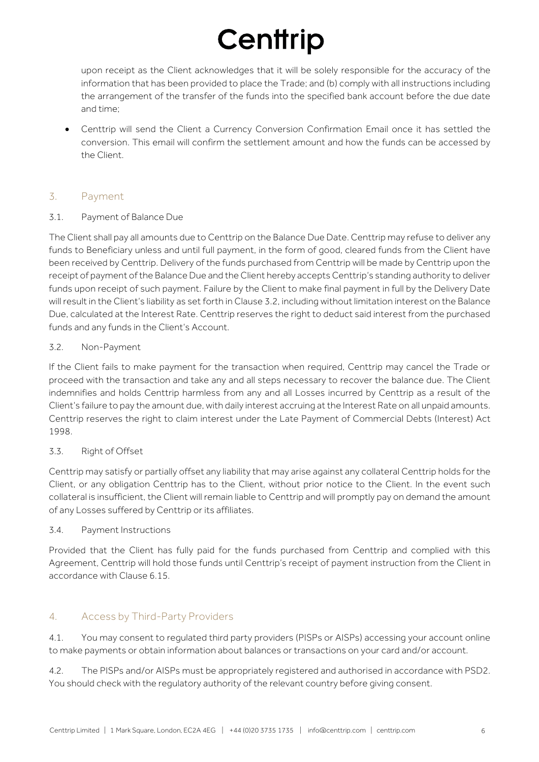upon receipt as the Client acknowledges that it will be solely responsible for the accuracy of the information that has been provided to place the Trade; and (b) comply with all instructions including the arrangement of the transfer of the funds into the specified bank account before the due date and time;

• Centtrip will send the Client a Currency Conversion Confirmation Email once it has settled the conversion. This email will confirm the settlement amount and how the funds can be accessed by the Client.

### 3. Payment

### 3.1. Payment of Balance Due

The Client shall pay all amounts due to Centtrip on the Balance Due Date. Centtrip may refuse to deliver any funds to Beneficiary unless and until full payment, in the form of good, cleared funds from the Client have been received by Centtrip. Delivery of the funds purchased from Centtrip will be made by Centtrip upon the receipt of payment of the Balance Due and the Client hereby accepts Centtrip's standing authority to deliver funds upon receipt of such payment. Failure by the Client to make final payment in full by the Delivery Date will result in the Client's liability as set forth in Clause 3.2, including without limitation interest on the Balance Due, calculated at the Interest Rate. Centtrip reserves the right to deduct said interest from the purchased funds and any funds in the Client's Account.

### 3.2. Non-Payment

If the Client fails to make payment for the transaction when required, Centtrip may cancel the Trade or proceed with the transaction and take any and all steps necessary to recover the balance due. The Client indemnifies and holds Centtrip harmless from any and all Losses incurred by Centtrip as a result of the Client's failure to pay the amount due, with daily interest accruing at the Interest Rate on all unpaid amounts. Centtrip reserves the right to claim interest under the Late Payment of Commercial Debts (Interest) Act 1998.

### 3.3. Right of Offset

Centtrip may satisfy or partially offset any liability that may arise against any collateral Centtrip holds for the Client, or any obligation Centtrip has to the Client, without prior notice to the Client. In the event such collateral is insufficient, the Client will remain liable to Centtrip and will promptly pay on demand the amount of any Losses suffered by Centtrip or its affiliates.

### 3.4. Payment Instructions

Provided that the Client has fully paid for the funds purchased from Centtrip and complied with this Agreement, Centtrip will hold those funds until Centtrip's receipt of payment instruction from the Client in accordance with Clause 6.15.

### 4. Access by Third-Party Providers

4.1. You may consent to regulated third party providers (PISPs or AISPs) accessing your account online to make payments or obtain information about balances or transactions on your card and/or account.

4.2. The PISPs and/or AISPs must be appropriately registered and authorised in accordance with PSD2. You should check with the regulatory authority of the relevant country before giving consent.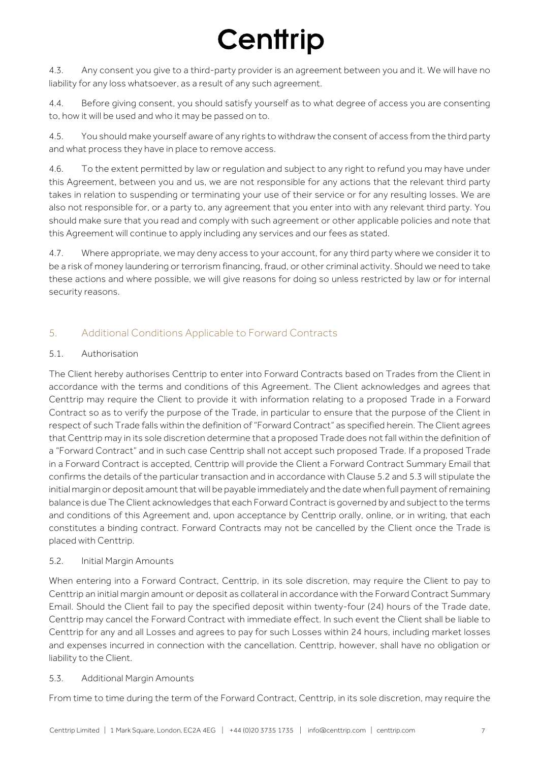4.3. Any consent you give to a third-party provider is an agreement between you and it. We will have no liability for any loss whatsoever, as a result of any such agreement.

4.4. Before giving consent, you should satisfy yourself as to what degree of access you are consenting to, how it will be used and who it may be passed on to.

4.5. You should make yourself aware of any rights to withdraw the consent of access from the third party and what process they have in place to remove access.

4.6. To the extent permitted by law or regulation and subject to any right to refund you may have under this Agreement, between you and us, we are not responsible for any actions that the relevant third party takes in relation to suspending or terminating your use of their service or for any resulting losses. We are also not responsible for, or a party to, any agreement that you enter into with any relevant third party. You should make sure that you read and comply with such agreement or other applicable policies and note that this Agreement will continue to apply including any services and our fees as stated.

4.7. Where appropriate, we may deny access to your account, for any third party where we consider it to be a risk of money laundering or terrorism financing, fraud, or other criminal activity. Should we need to take these actions and where possible, we will give reasons for doing so unless restricted by law or for internal security reasons.

### 5. Additional Conditions Applicable to Forward Contracts

### 5.1 Authorisation

The Client hereby authorises Centtrip to enter into Forward Contracts based on Trades from the Client in accordance with the terms and conditions of this Agreement. The Client acknowledges and agrees that Centtrip may require the Client to provide it with information relating to a proposed Trade in a Forward Contract so as to verify the purpose of the Trade, in particular to ensure that the purpose of the Client in respect of such Trade falls within the definition of "Forward Contract" as specified herein. The Client agrees that Centtrip may in its sole discretion determine that a proposed Trade does not fall within the definition of a "Forward Contract" and in such case Centtrip shall not accept such proposed Trade. If a proposed Trade in a Forward Contract is accepted, Centtrip will provide the Client a Forward Contract Summary Email that confirms the details of the particular transaction and in accordance with Clause 5.2 and 5.3 will stipulate the initial margin or deposit amount that will be payable immediately and the date when full payment of remaining balance is due The Client acknowledges that each Forward Contract is governed by and subject to the terms and conditions of this Agreement and, upon acceptance by Centtrip orally, online, or in writing, that each constitutes a binding contract. Forward Contracts may not be cancelled by the Client once the Trade is placed with Centtrip.

### 5.2. Initial Margin Amounts

When entering into a Forward Contract, Centtrip, in its sole discretion, may require the Client to pay to Centtrip an initial margin amount or deposit as collateral in accordance with the Forward Contract Summary Email. Should the Client fail to pay the specified deposit within twenty-four (24) hours of the Trade date, Centtrip may cancel the Forward Contract with immediate effect. In such event the Client shall be liable to Centtrip for any and all Losses and agrees to pay for such Losses within 24 hours, including market losses and expenses incurred in connection with the cancellation. Centtrip, however, shall have no obligation or liability to the Client.

### 5.3. Additional Margin Amounts

From time to time during the term of the Forward Contract, Centtrip, in its sole discretion, may require the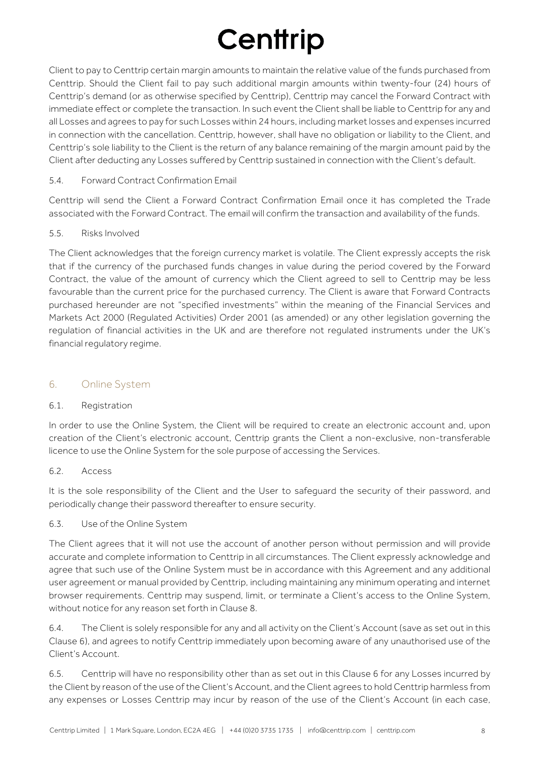Client to pay to Centtrip certain margin amounts to maintain the relative value of the funds purchased from Centtrip. Should the Client fail to pay such additional margin amounts within twenty-four (24) hours of Centtrip's demand (or as otherwise specified by Centtrip), Centtrip may cancel the Forward Contract with immediate effect or complete the transaction. In such event the Client shall be liable to Centtrip for any and all Losses and agrees to pay for such Losses within 24 hours, including market losses and expenses incurred in connection with the cancellation. Centtrip, however, shall have no obligation or liability to the Client, and Centtrip's sole liability to the Client is the return of any balance remaining of the margin amount paid by the Client after deducting any Losses suffered by Centtrip sustained in connection with the Client's default.

### 5.4. Forward Contract Confirmation Email

Centtrip will send the Client a Forward Contract Confirmation Email once it has completed the Trade associated with the Forward Contract. The email will confirm the transaction and availability of the funds.

### 5.5. Risks Involved

The Client acknowledges that the foreign currency market is volatile. The Client expressly accepts the risk that if the currency of the purchased funds changes in value during the period covered by the Forward Contract, the value of the amount of currency which the Client agreed to sell to Centtrip may be less favourable than the current price for the purchased currency. The Client is aware that Forward Contracts purchased hereunder are not "specified investments" within the meaning of the Financial Services and Markets Act 2000 (Regulated Activities) Order 2001 (as amended) or any other legislation governing the regulation of financial activities in the UK and are therefore not regulated instruments under the UK's financial regulatory regime.

### 6. Online System

### 6.1. Registration

In order to use the Online System, the Client will be required to create an electronic account and, upon creation of the Client's electronic account, Centtrip grants the Client a non-exclusive, non-transferable licence to use the Online System for the sole purpose of accessing the Services.

### 6.2. Access

It is the sole responsibility of the Client and the User to safequard the security of their password, and periodically change their password thereafter to ensure security.

### 6.3. Use of the Online System

The Client agrees that it will not use the account of another person without permission and will provide accurate and complete information to Centtrip in all circumstances. The Client expressly acknowledge and agree that such use of the Online System must be in accordance with this Agreement and any additional user agreement or manual provided by Centtrip, including maintaining any minimum operating and internet browser requirements. Centtrip may suspend, limit, or terminate a Client's access to the Online System, without notice for any reason set forth in Clause 8.

6.4. The Client is solely responsible for any and all activity on the Client's Account (save as set out in this Clause 6), and agrees to notify Centtrip immediately upon becoming aware of any unauthorised use of the Client's Account.

6.5. Centtrip will have no responsibility other than as set out in this Clause 6 for any Losses incurred by the Client by reason of the use of the Client's Account, and the Client agrees to hold Centtrip harmless from any expenses or Losses Centtrip may incur by reason of the use of the Client's Account (in each case,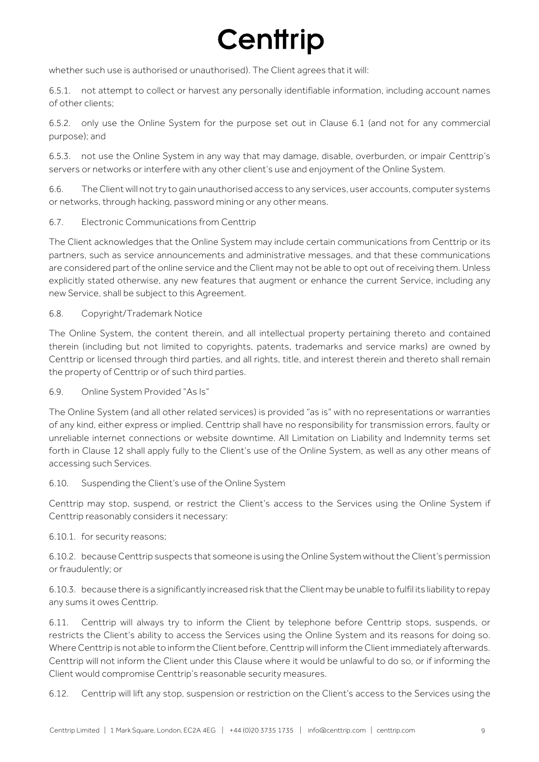whether such use is authorised or unauthorised). The Client agrees that it will:

6.5.1. not attempt to collect or harvest any personally identifiable information, including account names of other clients;

6.5.2. only use the Online System for the purpose set out in Clause 6.1 (and not for any commercial purpose); and

6.5.3. not use the Online System in any way that may damage, disable, overburden, or impair Centtrip's servers or networks or interfere with any other client's use and enjoyment of the Online System.

6.6. The Client will not try to gain unauthorised access to any services, user accounts, computer systems or networks, through hacking, password mining or any other means.

6.7. Electronic Communications from Centtrip

The Client acknowledges that the Online System may include certain communications from Centtrip or its partners, such as service announcements and administrative messages, and that these communications are considered part of the online service and the Client may not be able to opt out of receiving them. Unless explicitly stated otherwise, any new features that augment or enhance the current Service, including any new Service, shall be subject to this Agreement.

6.8. Copyright/Trademark Notice

The Online System, the content therein, and all intellectual property pertaining thereto and contained therein (including but not limited to copyrights, patents, trademarks and service marks) are owned by Centtrip or licensed through third parties, and all rights, title, and interest therein and thereto shall remain the property of Centtrip or of such third parties.

6.9. Online System Provided "As Is"

The Online System (and all other related services) is provided "as is" with no representations or warranties of any kind, either express or implied. Centtrip shall have no responsibility for transmission errors, faulty or unreliable internet connections or website downtime. All Limitation on Liability and Indemnity terms set forth in Clause 12 shall apply fully to the Client's use of the Online System, as well as any other means of accessing such Services.

### 6.10. Suspending the Client's use of the Online System

Centtrip may stop, suspend, or restrict the Client's access to the Services using the Online System if Centtrip reasonably considers it necessary:

6.10.1. for security reasons;

6.10.2. because Centtrip suspects that someone is using the Online System without the Client's permission or fraudulently; or

6.10.3. because there is a significantly increased risk that the Client may be unable to fulfil its liability to repay any sums it owes Centtrip.

6.11. Centtrip will always try to inform the Client by telephone before Centtrip stops, suspends, or restricts the Client's ability to access the Services using the Online System and its reasons for doing so. Where Centtrip is not able to inform the Client before, Centtrip will inform the Client immediately afterwards. Centtrip will not inform the Client under this Clause where it would be unlawful to do so, or if informing the Client would compromise Centtrip's reasonable security measures.

6.12. Centtrip will lift any stop, suspension or restriction on the Client's access to the Services using the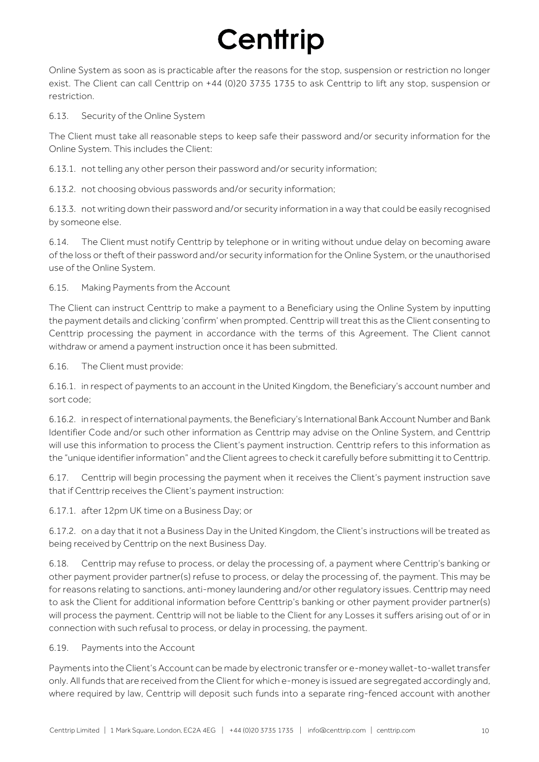Online System as soon as is practicable after the reasons for the stop, suspension or restriction no longer exist. The Client can call Centtrip on +44 (0)20 3735 1735 to ask Centtrip to lift any stop, suspension or restriction.

6.13. Security of the Online System

The Client must take all reasonable steps to keep safe their password and/or security information for the Online System. This includes the Client:

6.13.1. not telling any other person their password and/or security information;

6.13.2. not choosing obvious passwords and/or security information;

6.13.3. not writing down their password and/or security information in a way that could be easily recognised by someone else.

6.14. The Client must notify Centtrip by telephone or in writing without undue delay on becoming aware of the loss or theft of their password and/or security information for the Online System, or the unauthorised use of the Online System.

6.15. Making Payments from the Account

The Client can instruct Centtrip to make a payment to a Beneficiary using the Online System by inputting the payment details and clicking 'confirm' when prompted. Centtrip will treat this as the Client consenting to Centtrip processing the payment in accordance with the terms of this Agreement. The Client cannot withdraw or amend a payment instruction once it has been submitted.

6.16. The Client must provide:

6.16.1. in respect of payments to an account in the United Kingdom, the Beneficiary's account number and sort code;

6.16.2. in respect of international payments, the Beneficiary's International Bank Account Number and Bank Identifier Code and/or such other information as Centtrip may advise on the Online System, and Centtrip will use this information to process the Client's payment instruction. Centtrip refers to this information as the "unique identifier information" and the Client agrees to check it carefully before submitting it to Centtrip.

6.17. Centtrip will begin processing the payment when it receives the Client's payment instruction save that if Centtrip receives the Client's payment instruction:

6.17.1. after 12pm UK time on a Business Day; or

6.17.2. on a day that it not a Business Day in the United Kingdom, the Client's instructions will be treated as being received by Centtrip on the next Business Day.

6.18. Centtrip may refuse to process, or delay the processing of, a payment where Centtrip's banking or other payment provider partner(s) refuse to process, or delay the processing of, the payment. This may be for reasons relating to sanctions, anti-money laundering and/or other regulatory issues. Centtrip may need to ask the Client for additional information before Centtrip's banking or other payment provider partner(s) will process the payment. Centtrip will not be liable to the Client for any Losses it suffers arising out of or in connection with such refusal to process, or delay in processing, the payment.

### 6.19. Payments into the Account

Payments into the Client's Account can be made by electronic transfer or e-money wallet-to-wallet transfer only. All funds that are received from the Client for which e-money is issued are segregated accordingly and, where required by law, Centtrip will deposit such funds into a separate ring-fenced account with another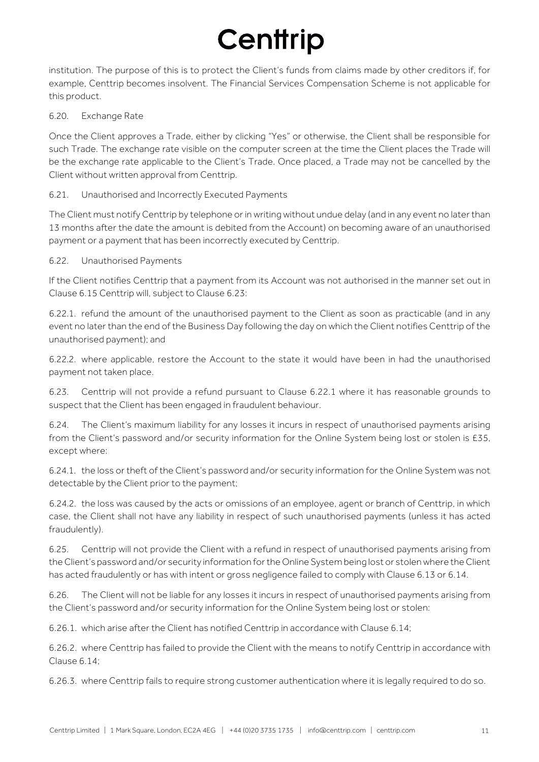institution. The purpose of this is to protect the Client's funds from claims made by other creditors if, for example, Centtrip becomes insolvent. The Financial Services Compensation Scheme is not applicable for this product.

### 6.20. Exchange Rate

Once the Client approves a Trade, either by clicking "Yes" or otherwise, the Client shall be responsible for such Trade. The exchange rate visible on the computer screen at the time the Client places the Trade will be the exchange rate applicable to the Client's Trade. Once placed, a Trade may not be cancelled by the Client without written approval from Centtrip.

### 6.21. Unauthorised and Incorrectly Executed Payments

The Client must notify Centtrip by telephone or in writing without undue delay (and in any event no later than 13 months after the date the amount is debited from the Account) on becoming aware of an unauthorised payment or a payment that has been incorrectly executed by Centtrip.

### 6.22. Unauthorised Payments

If the Client notifies Centtrip that a payment from its Account was not authorised in the manner set out in Clause 6.15 Centtrip will, subject to Clause 6.23:

6.22.1. refund the amount of the unauthorised payment to the Client as soon as practicable (and in any event no later than the end of the Business Day following the day on which the Client notifies Centtrip of the unauthorised payment); and

6.22.2. where applicable, restore the Account to the state it would have been in had the unauthorised payment not taken place.

6.23. Centtrip will not provide a refund pursuant to Clause 6.22.1 where it has reasonable grounds to suspect that the Client has been engaged in fraudulent behaviour.

6.24. The Client's maximum liability for any losses it incurs in respect of unauthorised payments arising from the Client's password and/or security information for the Online System being lost or stolen is £35, except where:

6.24.1. the loss or theft of the Client's password and/or security information for the Online System was not detectable by the Client prior to the payment;

6.24.2. the loss was caused by the acts or omissions of an employee, agent or branch of Centtrip, in which case, the Client shall not have any liability in respect of such unauthorised payments (unless it has acted fraudulently).

6.25. Centtrip will not provide the Client with a refund in respect of unauthorised payments arising from the Client's password and/or security information for the Online System being lost or stolen where the Client has acted fraudulently or has with intent or gross negligence failed to comply with Clause 6.13 or 6.14.

6.26. The Client will not be liable for any losses it incurs in respect of unauthorised payments arising from the Client's password and/or security information for the Online System being lost or stolen:

6.26.1. which arise after the Client has notified Centtrip in accordance with Clause 6.14;

6.26.2. where Centtrip has failed to provide the Client with the means to notify Centtrip in accordance with Clause 6.14;

6.26.3. where Centtrip fails to require strong customer authentication where it is legally required to do so.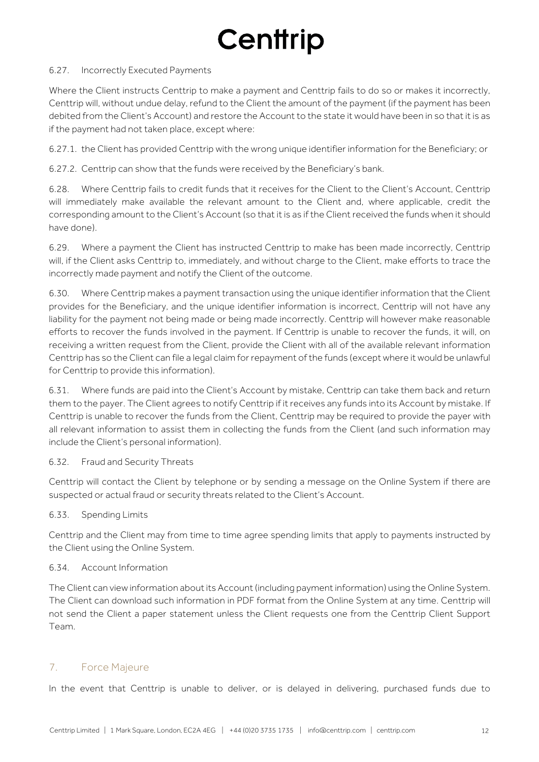#### 6.27. Incorrectly Executed Payments

Where the Client instructs Centtrip to make a payment and Centtrip fails to do so or makes it incorrectly, Centtrip will, without undue delay, refund to the Client the amount of the payment (if the payment has been debited from the Client's Account) and restore the Account to the state it would have been in so that it is as if the payment had not taken place, except where:

6.27.1. the Client has provided Centtrip with the wrong unique identifier information for the Beneficiary; or

6.27.2. Centtrip can show that the funds were received by the Beneficiary's bank.

6.28. Where Centtrip fails to credit funds that it receives for the Client to the Client's Account, Centtrip will immediately make available the relevant amount to the Client and, where applicable, credit the corresponding amount to the Client's Account (so that it is as if the Client received the funds when it should have done).

6.29. Where a payment the Client has instructed Centtrip to make has been made incorrectly, Centtrip will, if the Client asks Centtrip to, immediately, and without charge to the Client, make efforts to trace the incorrectly made payment and notify the Client of the outcome.

6.30. Where Centtrip makes a payment transaction using the unique identifier information that the Client provides for the Beneficiary, and the unique identifier information is incorrect, Centtrip will not have any liability for the payment not being made or being made incorrectly. Centtrip will however make reasonable efforts to recover the funds involved in the payment. If Centtrip is unable to recover the funds, it will, on receiving a written request from the Client, provide the Client with all of the available relevant information Centtrip has so the Client can file a legal claim for repayment of the funds (except where it would be unlawful for Centtrip to provide this information).

6.31. Where funds are paid into the Client's Account by mistake, Centtrip can take them back and return them to the payer. The Client agrees to notify Centtrip if it receives any funds into its Account by mistake. If Centtrip is unable to recover the funds from the Client, Centtrip may be required to provide the payer with all relevant information to assist them in collecting the funds from the Client (and such information may include the Client's personal information).

### 6.32. Fraud and Security Threats

Centtrip will contact the Client by telephone or by sending a message on the Online System if there are suspected or actual fraud or security threats related to the Client's Account.

6.33. Spending Limits

Centtrip and the Client may from time to time agree spending limits that apply to payments instructed by the Client using the Online System.

### 6.34. Account Information

The Client can view information about its Account (including payment information) using the Online System. The Client can download such information in PDF format from the Online System at any time. Centtrip will not send the Client a paper statement unless the Client requests one from the Centtrip Client Support Team.

### 7. Force Majeure

In the event that Centtrip is unable to deliver, or is delayed in delivering, purchased funds due to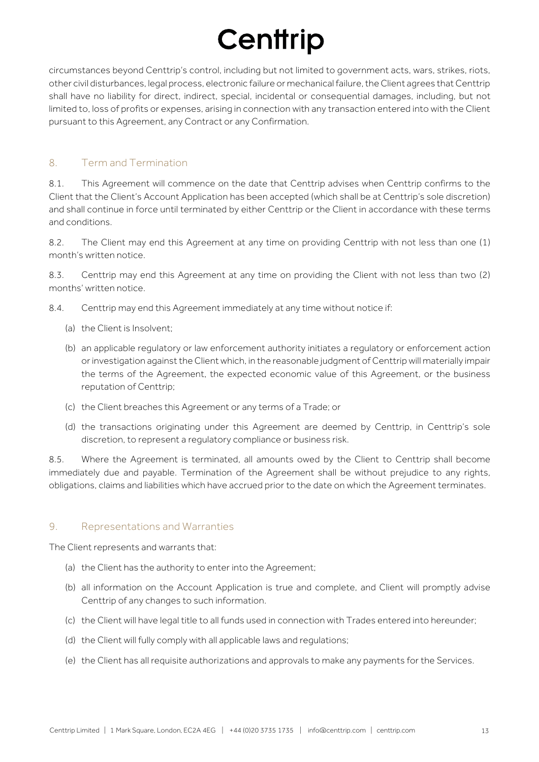circumstances beyond Centtrip's control, including but not limited to government acts, wars, strikes, riots, other civil disturbances, legal process, electronic failure or mechanical failure, the Client agrees that Centtrip shall have no liability for direct, indirect, special, incidental or consequential damages, including, but not limited to, loss of profits or expenses, arising in connection with any transaction entered into with the Client pursuant to this Agreement, any Contract or any Confirmation.

### 8. Term and Termination

8.1. This Agreement will commence on the date that Centtrip advises when Centtrip confirms to the Client that the Client's Account Application has been accepted (which shall be at Centtrip's sole discretion) and shall continue in force until terminated by either Centtrip or the Client in accordance with these terms and conditions.

8.2. The Client may end this Agreement at any time on providing Centtrip with not less than one (1) month's written notice.

8.3. Centtrip may end this Agreement at any time on providing the Client with not less than two (2) months' written notice.

8.4. Centtrip may end this Agreement immediately at any time without notice if:

- (a) the Client is Insolvent;
- (b) an applicable regulatory or law enforcement authority initiates a regulatory or enforcement action or investigation against the Client which, in the reasonable judgment of Centtrip will materially impair the terms of the Agreement, the expected economic value of this Agreement, or the business reputation of Centtrip;
- (c) the Client breaches this Agreement or any terms of a Trade; or
- (d) the transactions originating under this Agreement are deemed by Centtrip, in Centtrip's sole discretion, to represent a regulatory compliance or business risk.

8.5. Where the Agreement is terminated, all amounts owed by the Client to Centtrip shall become immediately due and payable. Termination of the Agreement shall be without prejudice to any rights, obligations, claims and liabilities which have accrued prior to the date on which the Agreement terminates.

### 9. Representations and Warranties

The Client represents and warrants that:

- (a) the Client has the authority to enter into the Agreement;
- (b) all information on the Account Application is true and complete, and Client will promptly advise Centtrip of any changes to such information.
- (c) the Client will have legal title to all funds used in connection with Trades entered into hereunder;
- (d) the Client will fully comply with all applicable laws and regulations;
- (e) the Client has all requisite authorizations and approvals to make any payments for the Services.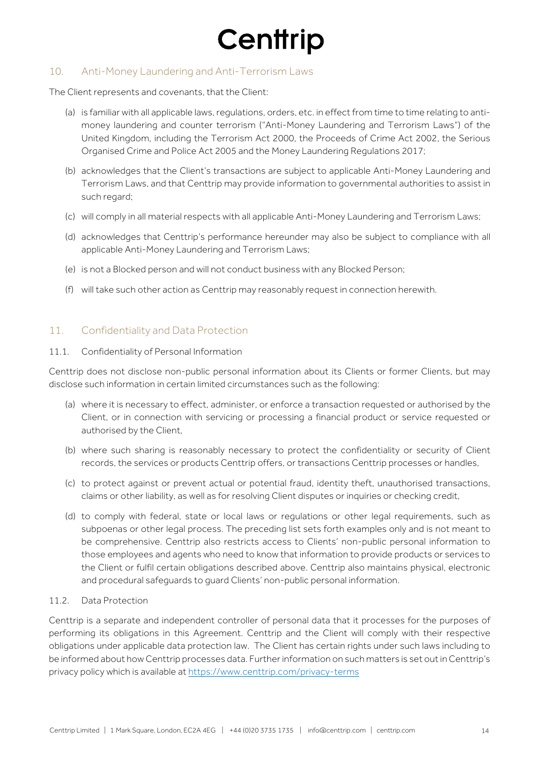### 10. Anti-Money Laundering and Anti-Terrorism Laws

The Client represents and covenants, that the Client:

- (a) is familiar with all applicable laws, regulations, orders, etc. in effect from time to time relating to antimoney laundering and counter terrorism ("Anti-Money Laundering and Terrorism Laws") of the United Kingdom, including the Terrorism Act 2000, the Proceeds of Crime Act 2002, the Serious Organised Crime and Police Act 2005 and the Money Laundering Regulations 2017;
- (b) acknowledges that the Client's transactions are subject to applicable Anti-Money Laundering and Terrorism Laws, and that Centtrip may provide information to governmental authorities to assist in such regard;
- (c) will comply in all material respects with all applicable Anti-Money Laundering and Terrorism Laws;
- (d) acknowledges that Centtrip's performance hereunder may also be subject to compliance with all applicable Anti-Money Laundering and Terrorism Laws;
- (e) is not a Blocked person and will not conduct business with any Blocked Person;
- (f) will take such other action as Centtrip may reasonably request in connection herewith.

### 11. Confidentiality and Data Protection

#### 11.1. Confidentiality of Personal Information

Centtrip does not disclose non-public personal information about its Clients or former Clients, but may disclose such information in certain limited circumstances such as the following:

- (a) where it is necessary to effect, administer, or enforce a transaction requested or authorised by the Client, or in connection with servicing or processing a financial product or service requested or authorised by the Client,
- (b) where such sharing is reasonably necessary to protect the confidentiality or security of Client records, the services or products Centtrip offers, or transactions Centtrip processes or handles,
- (c) to protect against or prevent actual or potential fraud, identity theft, unauthorised transactions, claims or other liability, as well as for resolving Client disputes or inquiries or checking credit,
- (d) to comply with federal, state or local laws or regulations or other legal requirements, such as subpoenas or other legal process. The preceding list sets forth examples only and is not meant to be comprehensive. Centtrip also restricts access to Clients' non-public personal information to those employees and agents who need to know that information to provide products or services to the Client or fulfil certain obligations described above. Centtrip also maintains physical, electronic and procedural safeguards to guard Clients' non-public personal information.

### 11.2. Data Protection

Centtrip is a separate and independent controller of personal data that it processes for the purposes of performing its obligations in this Agreement. Centtrip and the Client will comply with their respective obligations under applicable data protection law. The Client has certain rights under such laws including to be informed about how Centtrip processes data. Further information on such matters is set out in Centtrip's privacy policy which is available at https://www.centtrip.com/privacy-terms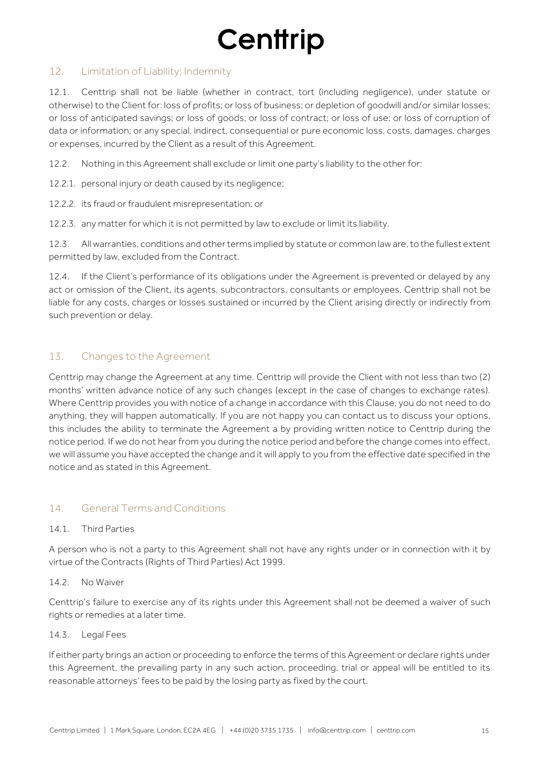### 12. Limitation of Liability; Indemnity

12.1. Centtrip shall not be liable (whether in contract, tort (including negligence), under statute or otherwise) to the Client for: loss of profits; or loss of business; or depletion of goodwill and/or similar losses; or loss of anticipated savings; or loss of goods; or loss of contract; or loss of use; or loss of corruption of data or information; or any special, indirect, consequential or pure economic loss, costs, damages, charges or expenses, incurred by the Client as a result of this Agreement.

12.2. Nothing in this Agreement shall exclude or limit one party's liability to the other for:

- 12.2.1. personal injury or death caused by its negligence;
- 12.2.2. its fraud or fraudulent misrepresentation; or

12.2.3. any matter for which it is not permitted by law to exclude or limit its liability.

12.3. All warranties, conditions and other terms implied by statute or common law are, to the fullest extent permitted by law, excluded from the Contract.

12.4. If the Client's performance of its obligations under the Agreement is prevented or delayed by any act or omission of the Client, its agents, subcontractors, consultants or employees, Centtrip shall not be liable for any costs, charges or losses sustained or incurred by the Client arising directly or indirectly from such prevention or delay.

### 13. Changes to the Agreement

Centtrip may change the Agreement at any time. Centtrip will provide the Client with not less than two (2) months' written advance notice of any such changes (except in the case of changes to exchange rates). Where Centtrip provides you with notice of a change in accordance with this Clause, you do not need to do anything, they will happen automatically. If you are not happy you can contact us to discuss your options, this includes the ability to terminate the Agreement a by providing written notice to Centtrip during the notice period. If we do not hear from you during the notice period and before the change comes into effect, we will assume you have accepted the change and it will apply to you from the effective date specified in the notice and as stated in this Agreement.

### 14. General Terms and Conditions

### 14.1. Third Parties

A person who is not a party to this Agreement shall not have any rights under or in connection with it by virtue of the Contracts (Rights of Third Parties) Act 1999.

### 14.2 No Waiver

Centtrip's failure to exercise any of its rights under this Agreement shall not be deemed a waiver of such rights or remedies at a later time.

### 14.3. Legal Fees

If either party brings an action or proceeding to enforce the terms of this Agreement or declare rights under this Agreement, the prevailing party in any such action, proceeding, trial or appeal will be entitled to its reasonable attorneys' fees to be paid by the losing party as fixed by the court.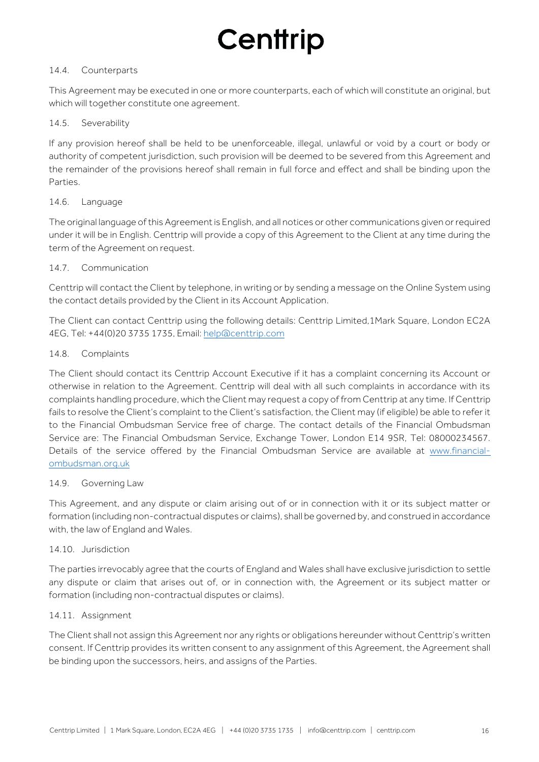#### 14.4. Counterparts

This Agreement may be executed in one or more counterparts, each of which will constitute an original, but which will together constitute one agreement.

#### 14.5. Severability

If any provision hereof shall be held to be unenforceable, illegal, unlawful or void by a court or body or authority of competent jurisdiction, such provision will be deemed to be severed from this Agreement and the remainder of the provisions hereof shall remain in full force and effect and shall be binding upon the Parties.

### 14.6. Language

The original language of this Agreement is English, and all notices or other communications given or required under it will be in English. Centtrip will provide a copy of this Agreement to the Client at any time during the term of the Agreement on request.

#### 14.7. Communication

Centtrip will contact the Client by telephone, in writing or by sending a message on the Online System using the contact details provided by the Client in its Account Application.

The Client can contact Centtrip using the following details: Centtrip Limited,1Mark Square, London EC2A 4EG, Tel: +44(0)20 3735 1735, Email: help@centtrip.com

#### 14.8. Complaints

The Client should contact its Centtrip Account Executive if it has a complaint concerning its Account or otherwise in relation to the Agreement. Centtrip will deal with all such complaints in accordance with its complaints handling procedure, which the Client may request a copy of from Centtrip at any time. If Centtrip fails to resolve the Client's complaint to the Client's satisfaction, the Client may (if eligible) be able to refer it to the Financial Ombudsman Service free of charge. The contact details of the Financial Ombudsman Service are: The Financial Ombudsman Service, Exchange Tower, London E14 9SR, Tel: 08000234567. Details of the service offered by the Financial Ombudsman Service are available at www.financialombudsman.org.uk

### 14.9. Governing Law

This Agreement, and any dispute or claim arising out of or in connection with it or its subject matter or formation (including non-contractual disputes or claims), shall be governed by, and construed in accordance with, the law of England and Wales.

#### 14.10. Jurisdiction

The parties irrevocably agree that the courts of England and Wales shall have exclusive jurisdiction to settle any dispute or claim that arises out of, or in connection with, the Agreement or its subject matter or formation (including non-contractual disputes or claims).

#### 14.11. Assignment

The Client shall not assign this Agreement nor any rights or obligations hereunder without Centtrip's written consent. If Centtrip provides its written consent to any assignment of this Agreement, the Agreement shall be binding upon the successors, heirs, and assigns of the Parties.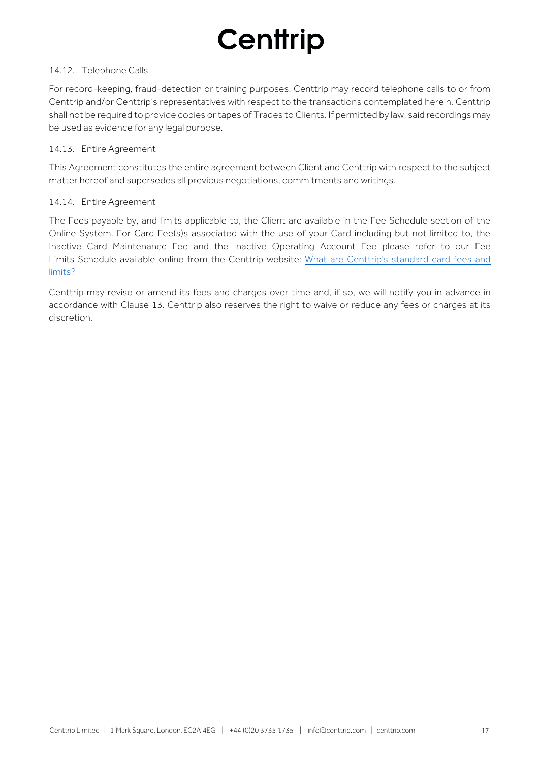#### 14.12. Telephone Calls

For record-keeping, fraud-detection or training purposes, Centtrip may record telephone calls to or from Centtrip and/or Centtrip's representatives with respect to the transactions contemplated herein. Centtrip shall not be required to provide copies or tapes of Trades to Clients. If permitted by law, said recordings may be used as evidence for any legal purpose.

#### 14.13. Entire Agreement

This Agreement constitutes the entire agreement between Client and Centtrip with respect to the subject matter hereof and supersedes all previous negotiations, commitments and writings.

#### 14.14. Entire Agreement

The Fees payable by, and limits applicable to, the Client are available in the Fee Schedule section of the Online System. For Card Fee(s)s associated with the use of your Card including but not limited to, the Inactive Card Maintenance Fee and the Inactive Operating Account Fee please refer to our Fee [Limits Schedule available online from the Centtrip website:](https://support.centtrip.com/faqs/what-are-your-card-fees) What are Centtrip's standard card fees and limits?

Centtrip may revise or amend its fees and charges over time and, if so, we will notify you in advance in accordance with Clause 13. Centtrip also reserves the right to waive or reduce any fees or charges at its discretion.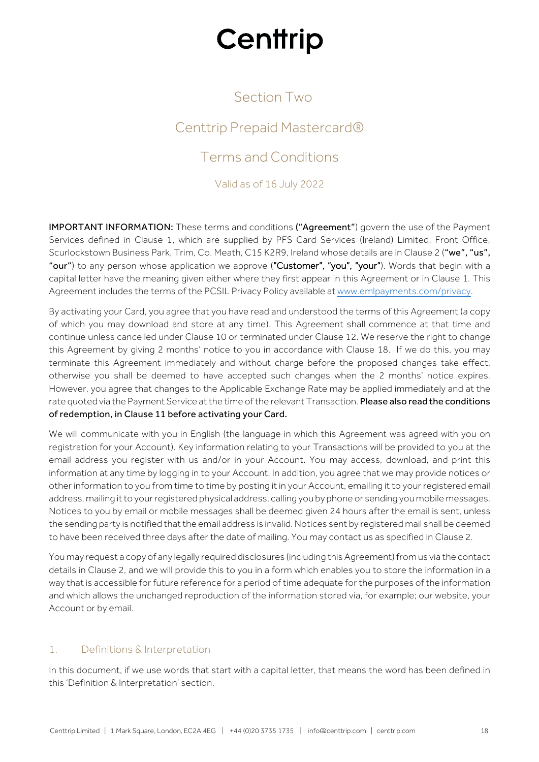## Section Two

## Centtrip Prepaid Mastercard®

## Terms and Conditions

Valid as of 16 July 2022

IMPORTANT INFORMATION: These terms and conditions ("Agreement") govern the use of the Payment Services defined in Clause 1, which are supplied by PFS Card Services (Ireland) Limited, Front Office, Scurlockstown Business Park, Trim, Co. Meath, C15 K2R9, Ireland whose details are in Clause 2 ("we", "us", "our") to any person whose application we approve ("Customer", "you", "your"). Words that begin with a capital letter have the meaning given either where they first appear in this Agreement or in Clause 1. This Agreement includes the terms of the PCSIL Privacy Policy available at www.emlpayments.com/privacy.

By activating your Card, you agree that you have read and understood the terms of this Agreement (a copy of which you may download and store at any time). This Agreement shall commence at that time and continue unless cancelled under Clause 10 or terminated under Clause 12. We reserve the right to change this Agreement by giving 2 months' notice to you in accordance with Clause 18. If we do this, you may terminate this Agreement immediately and without charge before the proposed changes take effect, otherwise you shall be deemed to have accepted such changes when the 2 months' notice expires. However, you agree that changes to the Applicable Exchange Rate may be applied immediately and at the rate quoted via the Payment Service at the time of the relevant Transaction. Please also read the conditions of redemption, in Clause 11 before activating your Card.

We will communicate with you in English (the language in which this Agreement was agreed with you on registration for your Account). Key information relating to your Transactions will be provided to you at the email address you register with us and/or in your Account. You may access, download, and print this information at any time by logging in to your Account. In addition, you agree that we may provide notices or other information to you from time to time by posting it in your Account, emailing it to your registered email address, mailing it to your registered physical address, calling you by phone or sending you mobile messages. Notices to you by email or mobile messages shall be deemed given 24 hours after the email is sent, unless the sending party is notified that the email address is invalid. Notices sent by registered mail shall be deemed to have been received three days after the date of mailing. You may contact us as specified in Clause 2.

You may request a copy of any legally required disclosures (including this Agreement) from us via the contact details in Clause 2, and we will provide this to you in a form which enables you to store the information in a way that is accessible for future reference for a period of time adequate for the purposes of the information and which allows the unchanged reproduction of the information stored via, for example; our website, your Account or by email.

### 1. Definitions & Interpretation

In this document, if we use words that start with a capital letter, that means the word has been defined in this 'Definition & Interpretation' section.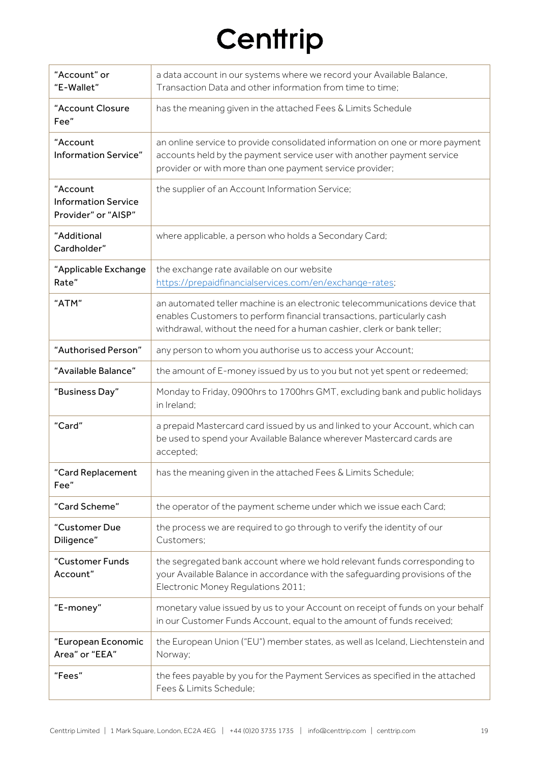| "Account" or<br>"E-Wallet"                                    | a data account in our systems where we record your Available Balance,<br>Transaction Data and other information from time to time;                                                                                               |
|---------------------------------------------------------------|----------------------------------------------------------------------------------------------------------------------------------------------------------------------------------------------------------------------------------|
| "Account Closure<br>Fee"                                      | has the meaning given in the attached Fees & Limits Schedule                                                                                                                                                                     |
| "Account<br><b>Information Service"</b>                       | an online service to provide consolidated information on one or more payment<br>accounts held by the payment service user with another payment service<br>provider or with more than one payment service provider;               |
| "Account<br><b>Information Service</b><br>Provider" or "AISP" | the supplier of an Account Information Service;                                                                                                                                                                                  |
| "Additional<br>Cardholder"                                    | where applicable, a person who holds a Secondary Card;                                                                                                                                                                           |
| "Applicable Exchange<br>Rate"                                 | the exchange rate available on our website<br>https://prepaidfinancialservices.com/en/exchange-rates;                                                                                                                            |
| "ATM"                                                         | an automated teller machine is an electronic telecommunications device that<br>enables Customers to perform financial transactions, particularly cash<br>withdrawal, without the need for a human cashier, clerk or bank teller; |
| "Authorised Person"                                           | any person to whom you authorise us to access your Account;                                                                                                                                                                      |
| "Available Balance"                                           | the amount of E-money issued by us to you but not yet spent or redeemed;                                                                                                                                                         |
| "Business Day"                                                | Monday to Friday, 0900hrs to 1700hrs GMT, excluding bank and public holidays<br>in Ireland;                                                                                                                                      |
| "Card"                                                        | a prepaid Mastercard card issued by us and linked to your Account, which can<br>be used to spend your Available Balance wherever Mastercard cards are<br>accepted;                                                               |
| "Card Replacement<br>Fee"                                     | has the meaning given in the attached Fees & Limits Schedule;                                                                                                                                                                    |
| "Card Scheme"                                                 | the operator of the payment scheme under which we issue each Card;                                                                                                                                                               |
| "Customer Due<br>Diligence"                                   | the process we are required to go through to verify the identity of our<br>Customers;                                                                                                                                            |
| "Customer Funds<br>Account"                                   | the segregated bank account where we hold relevant funds corresponding to<br>your Available Balance in accordance with the safeguarding provisions of the<br>Electronic Money Regulations 2011;                                  |
| "E-money"                                                     | monetary value issued by us to your Account on receipt of funds on your behalf<br>in our Customer Funds Account, equal to the amount of funds received;                                                                          |
| "European Economic<br>Area" or "EEA"                          | the European Union ("EU") member states, as well as Iceland, Liechtenstein and<br>Norway;                                                                                                                                        |
| "Fees"                                                        | the fees payable by you for the Payment Services as specified in the attached<br>Fees & Limits Schedule;                                                                                                                         |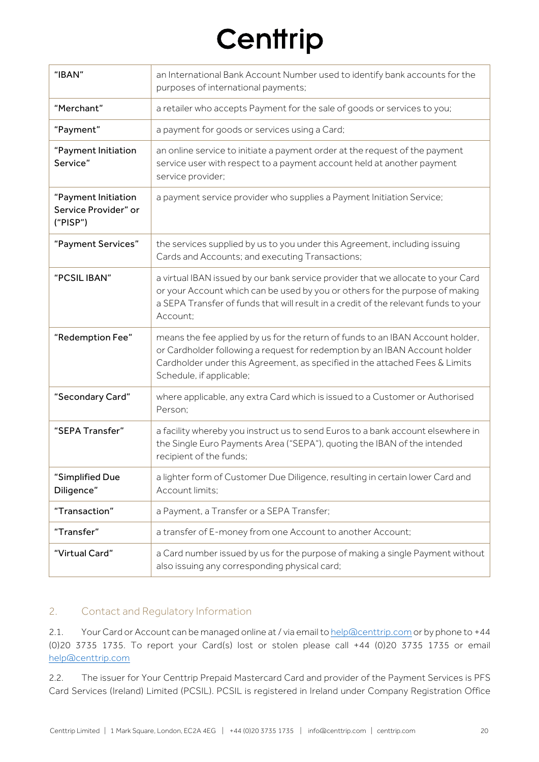| "IBAN"                                                  | an International Bank Account Number used to identify bank accounts for the<br>purposes of international payments;                                                                                                                                                      |
|---------------------------------------------------------|-------------------------------------------------------------------------------------------------------------------------------------------------------------------------------------------------------------------------------------------------------------------------|
| "Merchant"                                              | a retailer who accepts Payment for the sale of goods or services to you;                                                                                                                                                                                                |
| "Payment"                                               | a payment for goods or services using a Card;                                                                                                                                                                                                                           |
| "Payment Initiation<br>Service"                         | an online service to initiate a payment order at the request of the payment<br>service user with respect to a payment account held at another payment<br>service provider;                                                                                              |
| "Payment Initiation<br>Service Provider" or<br>("PISP") | a payment service provider who supplies a Payment Initiation Service;                                                                                                                                                                                                   |
| "Payment Services"                                      | the services supplied by us to you under this Agreement, including issuing<br>Cards and Accounts; and executing Transactions;                                                                                                                                           |
| "PCSIL IBAN"                                            | a virtual IBAN issued by our bank service provider that we allocate to your Card<br>or your Account which can be used by you or others for the purpose of making<br>a SEPA Transfer of funds that will result in a credit of the relevant funds to your<br>Account;     |
| "Redemption Fee"                                        | means the fee applied by us for the return of funds to an IBAN Account holder,<br>or Cardholder following a request for redemption by an IBAN Account holder<br>Cardholder under this Agreement, as specified in the attached Fees & Limits<br>Schedule, if applicable; |
| "Secondary Card"                                        | where applicable, any extra Card which is issued to a Customer or Authorised<br>Person:                                                                                                                                                                                 |
| "SEPA Transfer"                                         | a facility whereby you instruct us to send Euros to a bank account elsewhere in<br>the Single Euro Payments Area ("SEPA"), quoting the IBAN of the intended<br>recipient of the funds;                                                                                  |
| "Simplified Due<br>Diligence"                           | a lighter form of Customer Due Diligence, resulting in certain lower Card and<br>Account limits;                                                                                                                                                                        |
| "Transaction"                                           | a Payment, a Transfer or a SEPA Transfer;                                                                                                                                                                                                                               |
| "Transfer"                                              | a transfer of E-money from one Account to another Account;                                                                                                                                                                                                              |
| "Virtual Card"                                          | a Card number issued by us for the purpose of making a single Payment without<br>also issuing any corresponding physical card;                                                                                                                                          |

### 2. Contact and Regulatory Information

2.1. Your Card or Account can be managed online at / via email to help@centtrip.com or by phone to +44 (0)20 3735 1735. To report your Card(s) lost or stolen please call +44 (0)20 3735 1735 or email help@centtrip.com

2.2. The issuer for Your Centtrip Prepaid Mastercard Card and provider of the Payment Services is PFS Card Services (Ireland) Limited (PCSIL). PCSIL is registered in Ireland under Company Registration Office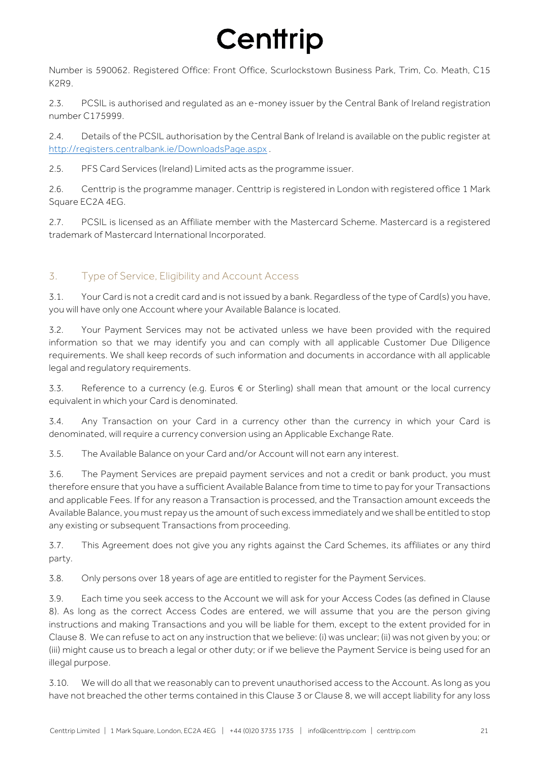Number is 590062. Registered Office: Front Office, Scurlockstown Business Park, Trim, Co. Meath, C15 K2R9.

2.3. PCSIL is authorised and regulated as an e-money issuer by the Central Bank of Ireland registration number C175999.

2.4. Details of the PCSIL authorisation by the Central Bank of Ireland is available on the public register at http://registers.centralbank.ie/DownloadsPage.aspx .

2.5. PFS Card Services (Ireland) Limited acts as the programme issuer.

2.6. Centtrip is the programme manager. Centtrip is registered in London with registered office 1 Mark Square EC2A 4EG.

2.7. PCSIL is licensed as an Affiliate member with the Mastercard Scheme. Mastercard is a registered trademark of Mastercard International Incorporated.

## 3. Type of Service, Eligibility and Account Access

3.1. Your Card is not a credit card and is not issued by a bank. Regardless of the type of Card(s) you have, you will have only one Account where your Available Balance is located.

3.2. Your Payment Services may not be activated unless we have been provided with the required information so that we may identify you and can comply with all applicable Customer Due Diligence requirements. We shall keep records of such information and documents in accordance with all applicable legal and regulatory requirements.

3.3. Reference to a currency (e.g. Euros  $€$  or Sterling) shall mean that amount or the local currency equivalent in which your Card is denominated.

3.4. Any Transaction on your Card in a currency other than the currency in which your Card is denominated, will require a currency conversion using an Applicable Exchange Rate.

3.5. The Available Balance on your Card and/or Account will not earn any interest.

3.6. The Payment Services are prepaid payment services and not a credit or bank product, you must therefore ensure that you have a sufficient Available Balance from time to time to pay for your Transactions and applicable Fees. If for any reason a Transaction is processed, and the Transaction amount exceeds the Available Balance, you must repay us the amount of such excess immediately and we shall be entitled to stop any existing or subsequent Transactions from proceeding.

3.7. This Agreement does not give you any rights against the Card Schemes, its affiliates or any third party.

3.8. Only persons over 18 years of age are entitled to register for the Payment Services.

3.9. Each time you seek access to the Account we will ask for your Access Codes (as defined in Clause 8). As long as the correct Access Codes are entered, we will assume that you are the person giving instructions and making Transactions and you will be liable for them, except to the extent provided for in Clause 8. We can refuse to act on any instruction that we believe: (i) was unclear; (ii) was not given by you; or (iii) might cause us to breach a legal or other duty; or if we believe the Payment Service is being used for an illegal purpose.

3.10. We will do all that we reasonably can to prevent unauthorised access to the Account. As long as you have not breached the other terms contained in this Clause 3 or Clause 8, we will accept liability for any loss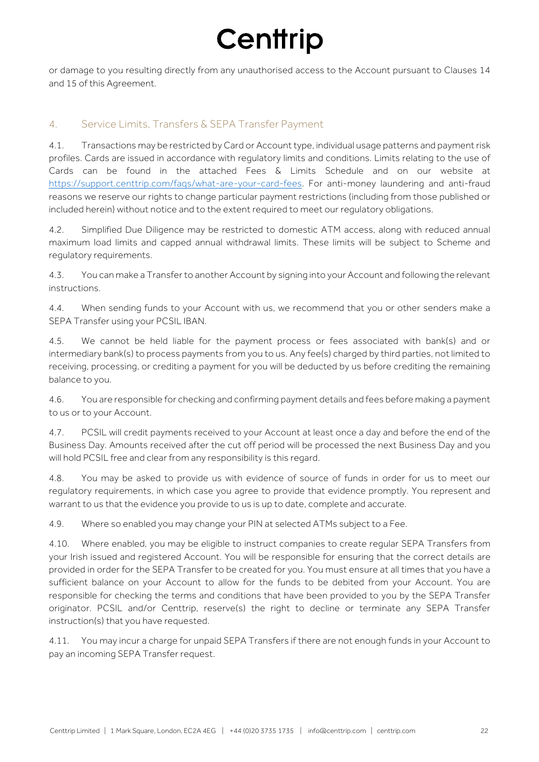or damage to you resulting directly from any unauthorised access to the Account pursuant to Clauses 14 and 15 of this Agreement.

### 4. Service Limits, Transfers & SEPA Transfer Payment

4.1. Transactions may be restricted by Card or Account type, individual usage patterns and payment risk profiles. Cards are issued in accordance with regulatory limits and conditions. Limits relating to the use of Cards can be found in the attached Fees & Limits Schedule and on our website at https://support.centtrip.com/faqs/what-are-your-card-fees. For anti-money laundering and anti-fraud reasons we reserve our rights to change particular payment restrictions (including from those published or included herein) without notice and to the extent required to meet our regulatory obligations.

4.2. Simplified Due Diligence may be restricted to domestic ATM access, along with reduced annual maximum load limits and capped annual withdrawal limits. These limits will be subject to Scheme and regulatory requirements.

4.3. You can make a Transfer to another Account by signing into your Account and following the relevant instructions.

4.4. When sending funds to your Account with us, we recommend that you or other senders make a SEPA Transfer using your PCSIL IBAN.

4.5. We cannot be held liable for the payment process or fees associated with bank(s) and or intermediary bank(s) to process payments from you to us. Any fee(s) charged by third parties, not limited to receiving, processing, or crediting a payment for you will be deducted by us before crediting the remaining balance to you.

4.6. You are responsible for checking and confirming payment details and fees before making a payment to us or to your Account.

4.7. PCSIL will credit payments received to your Account at least once a day and before the end of the Business Day. Amounts received after the cut off period will be processed the next Business Day and you will hold PCSIL free and clear from any responsibility is this regard.

4.8. You may be asked to provide us with evidence of source of funds in order for us to meet our regulatory requirements, in which case you agree to provide that evidence promptly. You represent and warrant to us that the evidence you provide to us is up to date, complete and accurate.

4.9. Where so enabled you may change your PIN at selected ATMs subject to a Fee.

4.10. Where enabled, you may be eligible to instruct companies to create regular SEPA Transfers from your Irish issued and registered Account. You will be responsible for ensuring that the correct details are provided in order for the SEPA Transfer to be created for you. You must ensure at all times that you have a sufficient balance on your Account to allow for the funds to be debited from your Account. You are responsible for checking the terms and conditions that have been provided to you by the SEPA Transfer originator. PCSIL and/or Centtrip, reserve(s) the right to decline or terminate any SEPA Transfer instruction(s) that you have requested.

4.11. You may incur a charge for unpaid SEPA Transfers if there are not enough funds in your Account to pay an incoming SEPA Transfer request.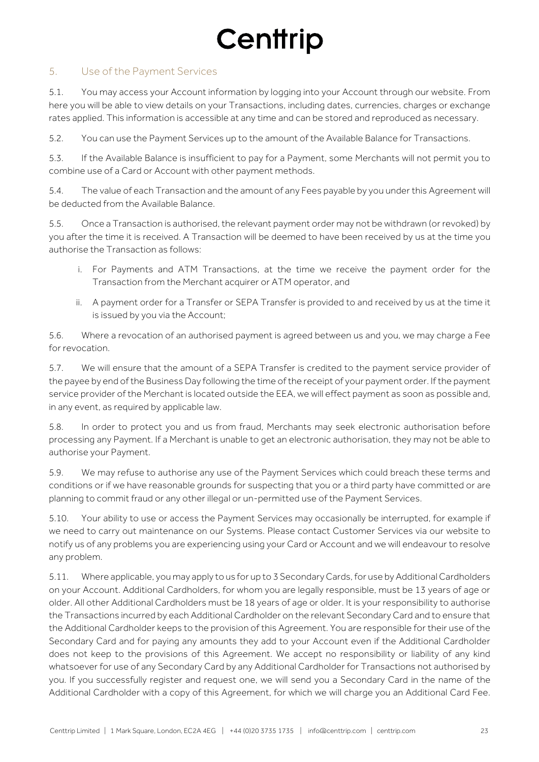### 5. Use of the Payment Services

5.1. You may access your Account information by logging into your Account through our website. From here you will be able to view details on your Transactions, including dates, currencies, charges or exchange rates applied. This information is accessible at any time and can be stored and reproduced as necessary.

5.2. You can use the Payment Services up to the amount of the Available Balance for Transactions.

5.3. If the Available Balance is insufficient to pay for a Payment, some Merchants will not permit you to combine use of a Card or Account with other payment methods.

5.4. The value of each Transaction and the amount of any Fees payable by you under this Agreement will be deducted from the Available Balance.

5.5. Once a Transaction is authorised, the relevant payment order may not be withdrawn (or revoked) by you after the time it is received. A Transaction will be deemed to have been received by us at the time you authorise the Transaction as follows:

- i. For Payments and ATM Transactions, at the time we receive the payment order for the Transaction from the Merchant acquirer or ATM operator, and
- ii. A payment order for a Transfer or SEPA Transfer is provided to and received by us at the time it is issued by you via the Account;

5.6. Where a revocation of an authorised payment is agreed between us and you, we may charge a Fee for revocation.

5.7. We will ensure that the amount of a SEPA Transfer is credited to the payment service provider of the payee by end of the Business Day following the time of the receipt of your payment order. If the payment service provider of the Merchant is located outside the EEA, we will effect payment as soon as possible and, in any event, as required by applicable law.

5.8. In order to protect you and us from fraud, Merchants may seek electronic authorisation before processing any Payment. If a Merchant is unable to get an electronic authorisation, they may not be able to authorise your Payment.

5.9. We may refuse to authorise any use of the Payment Services which could breach these terms and conditions or if we have reasonable grounds for suspecting that you or a third party have committed or are planning to commit fraud or any other illegal or un-permitted use of the Payment Services.

5.10. Your ability to use or access the Payment Services may occasionally be interrupted, for example if we need to carry out maintenance on our Systems. Please contact Customer Services via our website to notify us of any problems you are experiencing using your Card or Account and we will endeavour to resolve any problem.

5.11. Where applicable, you may apply to us for up to 3 Secondary Cards, for use by Additional Cardholders on your Account. Additional Cardholders, for whom you are legally responsible, must be 13 years of age or older. All other Additional Cardholders must be 18 years of age or older. It is your responsibility to authorise the Transactions incurred by each Additional Cardholder on the relevant Secondary Card and to ensure that the Additional Cardholder keeps to the provision of this Agreement. You are responsible for their use of the Secondary Card and for paying any amounts they add to your Account even if the Additional Cardholder does not keep to the provisions of this Agreement. We accept no responsibility or liability of any kind whatsoever for use of any Secondary Card by any Additional Cardholder for Transactions not authorised by you. If you successfully register and request one, we will send you a Secondary Card in the name of the Additional Cardholder with a copy of this Agreement, for which we will charge you an Additional Card Fee.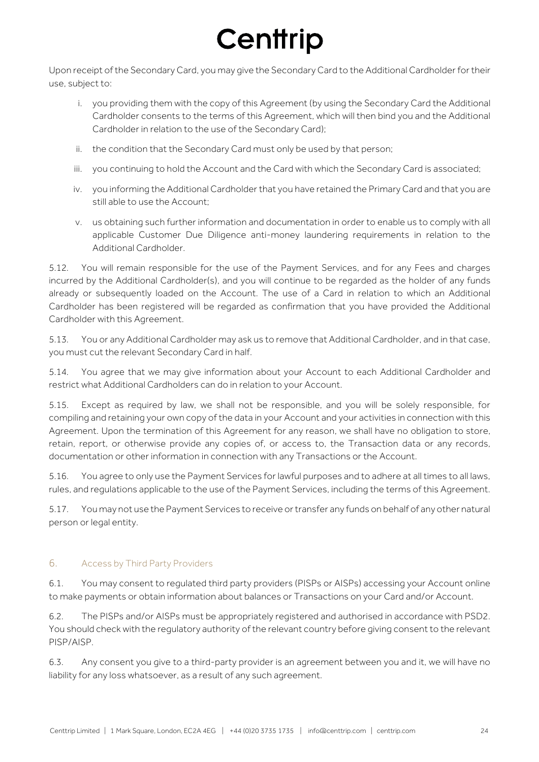Upon receipt of the Secondary Card, you may give the Secondary Card to the Additional Cardholder for their use, subject to:

- i. you providing them with the copy of this Agreement (by using the Secondary Card the Additional Cardholder consents to the terms of this Agreement, which will then bind you and the Additional Cardholder in relation to the use of the Secondary Card);
- ii. the condition that the Secondary Card must only be used by that person;
- iii. you continuing to hold the Account and the Card with which the Secondary Card is associated;
- iv. you informing the Additional Cardholder that you have retained the Primary Card and that you are still able to use the Account;
- v. us obtaining such further information and documentation in order to enable us to comply with all applicable Customer Due Diligence anti-money laundering requirements in relation to the Additional Cardholder.

5.12. You will remain responsible for the use of the Payment Services, and for any Fees and charges incurred by the Additional Cardholder(s), and you will continue to be regarded as the holder of any funds already or subsequently loaded on the Account. The use of a Card in relation to which an Additional Cardholder has been registered will be regarded as confirmation that you have provided the Additional Cardholder with this Agreement.

5.13. You or any Additional Cardholder may ask us to remove that Additional Cardholder, and in that case, you must cut the relevant Secondary Card in half.

5.14. You agree that we may give information about your Account to each Additional Cardholder and restrict what Additional Cardholders can do in relation to your Account.

5.15. Except as required by law, we shall not be responsible, and you will be solely responsible, for compiling and retaining your own copy of the data in your Account and your activities in connection with this Agreement. Upon the termination of this Agreement for any reason, we shall have no obligation to store, retain, report, or otherwise provide any copies of, or access to, the Transaction data or any records, documentation or other information in connection with any Transactions or the Account.

5.16. You agree to only use the Payment Services for lawful purposes and to adhere at all times to all laws, rules, and regulations applicable to the use of the Payment Services, including the terms of this Agreement.

5.17. You may not use the Payment Services to receive or transfer any funds on behalf of any other natural person or legal entity.

### 6. Access by Third Party Providers

6.1. You may consent to regulated third party providers (PISPs or AISPs) accessing your Account online to make payments or obtain information about balances or Transactions on your Card and/or Account.

6.2. The PISPs and/or AISPs must be appropriately registered and authorised in accordance with PSD2. You should check with the regulatory authority of the relevant country before giving consent to the relevant PISP/AISP.

6.3. Any consent you give to a third-party provider is an agreement between you and it, we will have no liability for any loss whatsoever, as a result of any such agreement.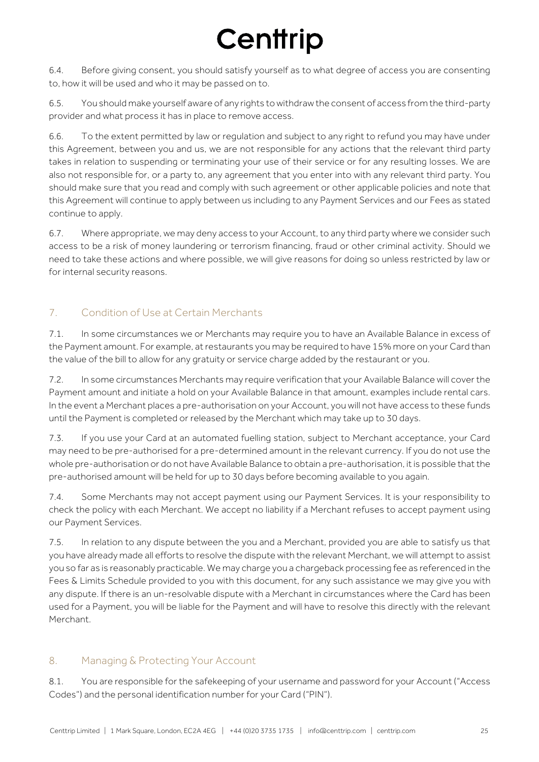6.4. Before giving consent, you should satisfy yourself as to what degree of access you are consenting to, how it will be used and who it may be passed on to.

6.5. You should make yourself aware of any rights to withdraw the consent of access from the third-party provider and what process it has in place to remove access.

6.6. To the extent permitted by law or regulation and subject to any right to refund you may have under this Agreement, between you and us, we are not responsible for any actions that the relevant third party takes in relation to suspending or terminating your use of their service or for any resulting losses. We are also not responsible for, or a party to, any agreement that you enter into with any relevant third party. You should make sure that you read and comply with such agreement or other applicable policies and note that this Agreement will continue to apply between us including to any Payment Services and our Fees as stated continue to apply.

6.7. Where appropriate, we may deny access to your Account, to any third party where we consider such access to be a risk of money laundering or terrorism financing, fraud or other criminal activity. Should we need to take these actions and where possible, we will give reasons for doing so unless restricted by law or for internal security reasons.

## 7. Condition of Use at Certain Merchants

7.1. In some circumstances we or Merchants may require you to have an Available Balance in excess of the Payment amount. For example, at restaurants you may be required to have 15% more on your Card than the value of the bill to allow for any gratuity or service charge added by the restaurant or you.

7.2. In some circumstances Merchants may require verification that your Available Balance will cover the Payment amount and initiate a hold on your Available Balance in that amount, examples include rental cars. In the event a Merchant places a pre-authorisation on your Account, you will not have access to these funds until the Payment is completed or released by the Merchant which may take up to 30 days.

7.3. If you use your Card at an automated fuelling station, subject to Merchant acceptance, your Card may need to be pre-authorised for a pre-determined amount in the relevant currency. If you do not use the whole pre-authorisation or do not have Available Balance to obtain a pre-authorisation, it is possible that the pre-authorised amount will be held for up to 30 days before becoming available to you again.

7.4. Some Merchants may not accept payment using our Payment Services. It is your responsibility to check the policy with each Merchant. We accept no liability if a Merchant refuses to accept payment using our Payment Services.

7.5. In relation to any dispute between the you and a Merchant, provided you are able to satisfy us that you have already made all efforts to resolve the dispute with the relevant Merchant, we will attempt to assist you so far as is reasonably practicable. We may charge you a chargeback processing fee as referenced in the Fees & Limits Schedule provided to you with this document, for any such assistance we may give you with any dispute. If there is an un-resolvable dispute with a Merchant in circumstances where the Card has been used for a Payment, you will be liable for the Payment and will have to resolve this directly with the relevant Merchant.

## 8. Managing & Protecting Your Account

8.1. You are responsible for the safekeeping of your username and password for your Account ("Access Codes") and the personal identification number for your Card ("PIN").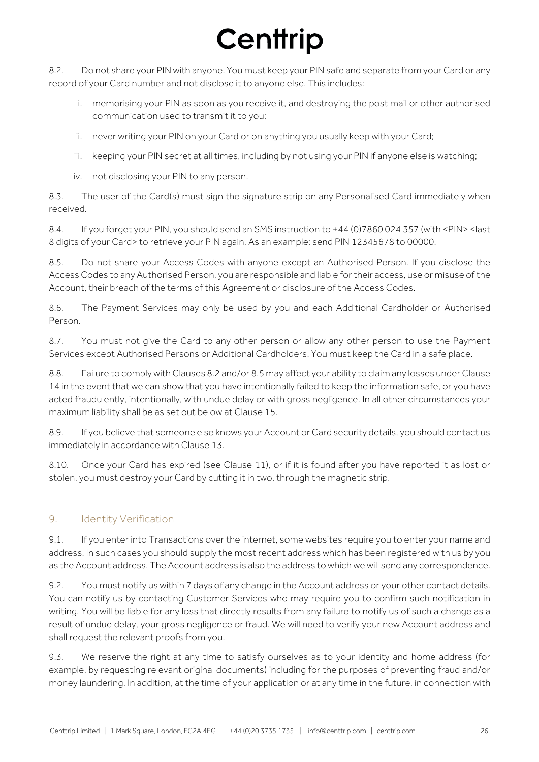8.2. Do not share your PIN with anyone. You must keep your PIN safe and separate from your Card or any record of your Card number and not disclose it to anyone else. This includes:

- i. memorising your PIN as soon as you receive it, and destroying the post mail or other authorised communication used to transmit it to you;
- ii. never writing your PIN on your Card or on anything you usually keep with your Card;
- iii. keeping your PIN secret at all times, including by not using your PIN if anyone else is watching;
- iv. not disclosing your PIN to any person.

8.3. The user of the Card(s) must sign the signature strip on any Personalised Card immediately when received.

8.4. If you forget your PIN, you should send an SMS instruction to +44 (0)7860 024 357 (with <PIN> <last 8 digits of your Card> to retrieve your PIN again. As an example: send PIN 12345678 to 00000.

8.5. Do not share your Access Codes with anyone except an Authorised Person. If you disclose the Access Codes to any Authorised Person, you are responsible and liable for their access, use or misuse of the Account, their breach of the terms of this Agreement or disclosure of the Access Codes.

8.6. The Payment Services may only be used by you and each Additional Cardholder or Authorised Person.

8.7. You must not give the Card to any other person or allow any other person to use the Payment Services except Authorised Persons or Additional Cardholders. You must keep the Card in a safe place.

8.8. Failure to comply with Clauses 8.2 and/or 8.5 may affect your ability to claim any losses under Clause 14 in the event that we can show that you have intentionally failed to keep the information safe, or you have acted fraudulently, intentionally, with undue delay or with gross negligence. In all other circumstances your maximum liability shall be as set out below at Clause 15.

8.9. If you believe that someone else knows your Account or Card security details, you should contact us immediately in accordance with Clause 13.

8.10. Once your Card has expired (see Clause 11), or if it is found after you have reported it as lost or stolen, you must destroy your Card by cutting it in two, through the magnetic strip.

### 9. Identity Verification

9.1. If you enter into Transactions over the internet, some websites require you to enter your name and address. In such cases you should supply the most recent address which has been registered with us by you as the Account address. The Account address is also the address to which we will send any correspondence.

9.2. You must notify us within 7 days of any change in the Account address or your other contact details. You can notify us by contacting Customer Services who may require you to confirm such notification in writing. You will be liable for any loss that directly results from any failure to notify us of such a change as a result of undue delay, your gross negligence or fraud. We will need to verify your new Account address and shall request the relevant proofs from you.

9.3. We reserve the right at any time to satisfy ourselves as to your identity and home address (for example, by requesting relevant original documents) including for the purposes of preventing fraud and/or money laundering. In addition, at the time of your application or at any time in the future, in connection with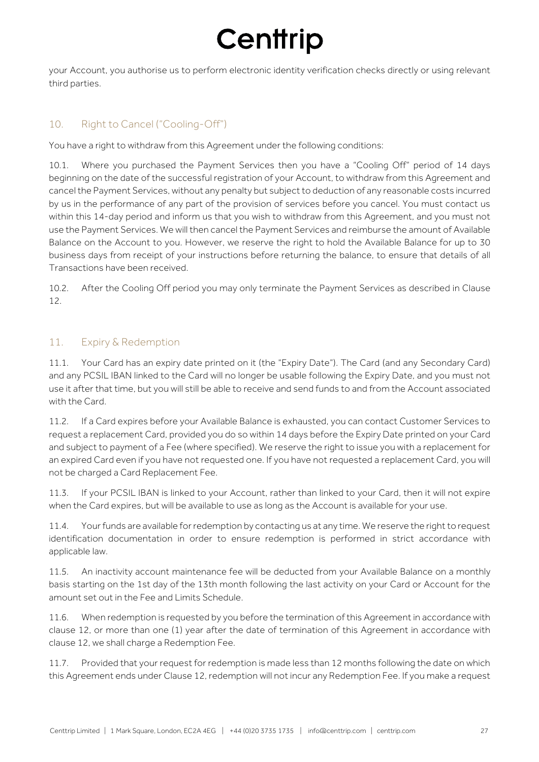your Account, you authorise us to perform electronic identity verification checks directly or using relevant third parties.

## 10. Right to Cancel ("Cooling-Off")

You have a right to withdraw from this Agreement under the following conditions:

10.1. Where you purchased the Payment Services then you have a "Cooling Off" period of 14 days beginning on the date of the successful registration of your Account, to withdraw from this Agreement and cancel the Payment Services, without any penalty but subject to deduction of any reasonable costs incurred by us in the performance of any part of the provision of services before you cancel. You must contact us within this 14-day period and inform us that you wish to withdraw from this Agreement, and you must not use the Payment Services. We will then cancel the Payment Services and reimburse the amount of Available Balance on the Account to you. However, we reserve the right to hold the Available Balance for up to 30 business days from receipt of your instructions before returning the balance, to ensure that details of all Transactions have been received.

10.2. After the Cooling Off period you may only terminate the Payment Services as described in Clause 12.

### 11. Expiry & Redemption

11.1. Your Card has an expiry date printed on it (the "Expiry Date"). The Card (and any Secondary Card) and any PCSIL IBAN linked to the Card will no longer be usable following the Expiry Date, and you must not use it after that time, but you will still be able to receive and send funds to and from the Account associated with the Card.

11.2. If a Card expires before your Available Balance is exhausted, you can contact Customer Services to request a replacement Card, provided you do so within 14 days before the Expiry Date printed on your Card and subject to payment of a Fee (where specified). We reserve the right to issue you with a replacement for an expired Card even if you have not requested one. If you have not requested a replacement Card, you will not be charged a Card Replacement Fee.

11.3. If your PCSIL IBAN is linked to your Account, rather than linked to your Card, then it will not expire when the Card expires, but will be available to use as long as the Account is available for your use.

11.4. Your funds are available for redemption by contacting us at any time. We reserve the right to request identification documentation in order to ensure redemption is performed in strict accordance with applicable law.

11.5. An inactivity account maintenance fee will be deducted from your Available Balance on a monthly basis starting on the 1st day of the 13th month following the last activity on your Card or Account for the amount set out in the Fee and Limits Schedule.

11.6. When redemption is requested by you before the termination of this Agreement in accordance with clause 12, or more than one (1) year after the date of termination of this Agreement in accordance with clause 12, we shall charge a Redemption Fee.

11.7. Provided that your request for redemption is made less than 12 months following the date on which this Agreement ends under Clause 12, redemption will not incur any Redemption Fee. If you make a request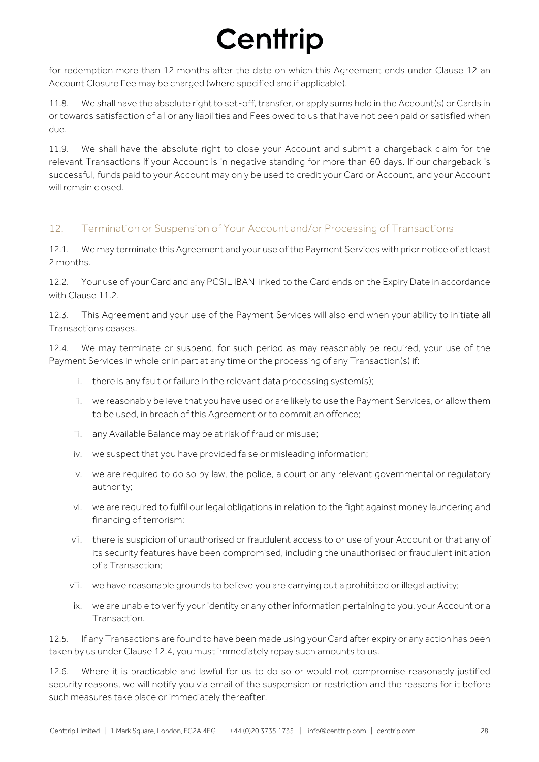for redemption more than 12 months after the date on which this Agreement ends under Clause 12 an Account Closure Fee may be charged (where specified and if applicable).

11.8. We shall have the absolute right to set-off, transfer, or apply sums held in the Account(s) or Cards in or towards satisfaction of all or any liabilities and Fees owed to us that have not been paid or satisfied when due.

11.9. We shall have the absolute right to close your Account and submit a chargeback claim for the relevant Transactions if your Account is in negative standing for more than 60 days. If our chargeback is successful, funds paid to your Account may only be used to credit your Card or Account, and your Account will remain closed.

### 12. Termination or Suspension of Your Account and/or Processing of Transactions

12.1. We may terminate this Agreement and your use of the Payment Services with prior notice of at least 2 months.

12.2. Your use of your Card and any PCSIL IBAN linked to the Card ends on the Expiry Date in accordance with Clause 11.2.

12.3. This Agreement and your use of the Payment Services will also end when your ability to initiate all Transactions ceases.

12.4. We may terminate or suspend, for such period as may reasonably be required, your use of the Payment Services in whole or in part at any time or the processing of any Transaction(s) if:

- i. there is any fault or failure in the relevant data processing system(s);
- ii. we reasonably believe that you have used or are likely to use the Payment Services, or allow them to be used, in breach of this Agreement or to commit an offence;
- iii. any Available Balance may be at risk of fraud or misuse;
- iv. we suspect that you have provided false or misleading information;
- v. we are required to do so by law, the police, a court or any relevant governmental or regulatory authority;
- vi. we are required to fulfil our legal obligations in relation to the fight against money laundering and financing of terrorism;
- vii. there is suspicion of unauthorised or fraudulent access to or use of your Account or that any of its security features have been compromised, including the unauthorised or fraudulent initiation of a Transaction;
- viii. we have reasonable grounds to believe you are carrying out a prohibited or illegal activity;
- ix. we are unable to verify your identity or any other information pertaining to you, your Account or a Transaction.

12.5. If any Transactions are found to have been made using your Card after expiry or any action has been taken by us under Clause 12.4, you must immediately repay such amounts to us.

12.6. Where it is practicable and lawful for us to do so or would not compromise reasonably justified security reasons, we will notify you via email of the suspension or restriction and the reasons for it before such measures take place or immediately thereafter.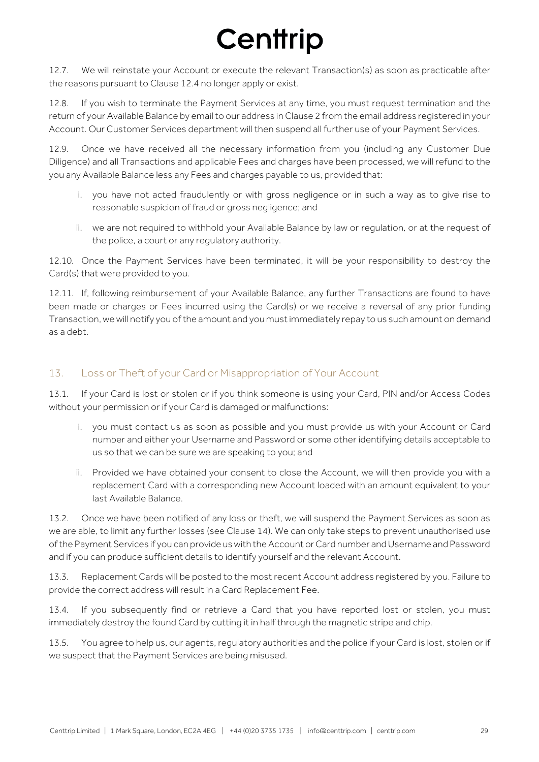12.7. We will reinstate your Account or execute the relevant Transaction(s) as soon as practicable after the reasons pursuant to Clause 12.4 no longer apply or exist.

12.8. If you wish to terminate the Payment Services at any time, you must request termination and the return of your Available Balance by email to our address in Clause 2 from the email address registered in your Account. Our Customer Services department will then suspend all further use of your Payment Services.

12.9. Once we have received all the necessary information from you (including any Customer Due Diligence) and all Transactions and applicable Fees and charges have been processed, we will refund to the you any Available Balance less any Fees and charges payable to us, provided that:

- i. you have not acted fraudulently or with gross negligence or in such a way as to give rise to reasonable suspicion of fraud or gross negligence; and
- ii. we are not required to withhold your Available Balance by law or regulation, or at the request of the police, a court or any regulatory authority.

12.10. Once the Payment Services have been terminated, it will be your responsibility to destroy the Card(s) that were provided to you.

12.11. If, following reimbursement of your Available Balance, any further Transactions are found to have been made or charges or Fees incurred using the Card(s) or we receive a reversal of any prior funding Transaction, we will notify you of the amount and you must immediately repay to us such amount on demand as a debt.

### 13. Loss or Theft of your Card or Misappropriation of Your Account

13.1. If your Card is lost or stolen or if you think someone is using your Card, PIN and/or Access Codes without your permission or if your Card is damaged or malfunctions:

- i. you must contact us as soon as possible and you must provide us with your Account or Card number and either your Username and Password or some other identifying details acceptable to us so that we can be sure we are speaking to you; and
- ii. Provided we have obtained your consent to close the Account, we will then provide you with a replacement Card with a corresponding new Account loaded with an amount equivalent to your last Available Balance.

13.2. Once we have been notified of any loss or theft, we will suspend the Payment Services as soon as we are able, to limit any further losses (see Clause 14). We can only take steps to prevent unauthorised use of the Payment Services if you can provide us with the Account or Card number and Username and Password and if you can produce sufficient details to identify yourself and the relevant Account.

13.3. Replacement Cards will be posted to the most recent Account address registered by you. Failure to provide the correct address will result in a Card Replacement Fee.

13.4. If you subsequently find or retrieve a Card that you have reported lost or stolen, you must immediately destroy the found Card by cutting it in half through the magnetic stripe and chip.

13.5. You agree to help us, our agents, regulatory authorities and the police if your Card is lost, stolen or if we suspect that the Payment Services are being misused.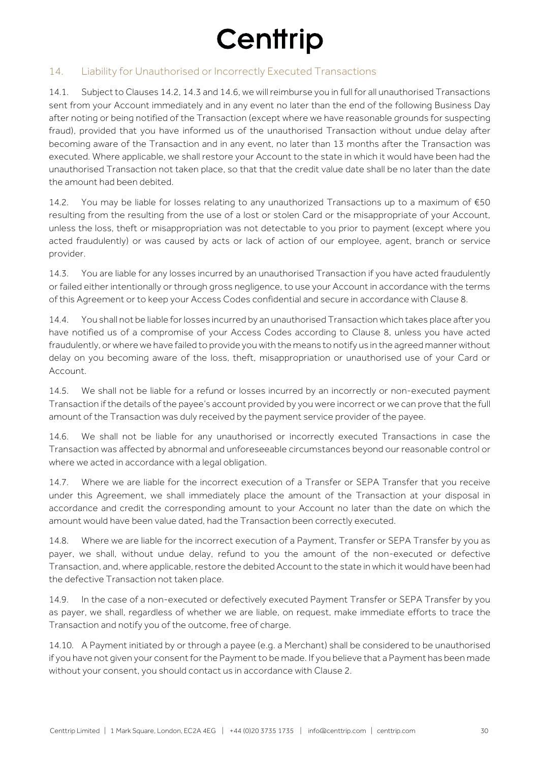### 14. Liability for Unauthorised or Incorrectly Executed Transactions

14.1. Subject to Clauses 14.2, 14.3 and 14.6, we will reimburse you in full for all unauthorised Transactions sent from your Account immediately and in any event no later than the end of the following Business Day after noting or being notified of the Transaction (except where we have reasonable grounds for suspecting fraud), provided that you have informed us of the unauthorised Transaction without undue delay after becoming aware of the Transaction and in any event, no later than 13 months after the Transaction was executed. Where applicable, we shall restore your Account to the state in which it would have been had the unauthorised Transaction not taken place, so that that the credit value date shall be no later than the date the amount had been debited.

14.2. You may be liable for losses relating to any unauthorized Transactions up to a maximum of €50 resulting from the resulting from the use of a lost or stolen Card or the misappropriate of your Account, unless the loss, theft or misappropriation was not detectable to you prior to payment (except where you acted fraudulently) or was caused by acts or lack of action of our employee, agent, branch or service provider.

14.3. You are liable for any losses incurred by an unauthorised Transaction if you have acted fraudulently or failed either intentionally or through gross negligence, to use your Account in accordance with the terms of this Agreement or to keep your Access Codes confidential and secure in accordance with Clause 8.

14.4. You shall not be liable for losses incurred by an unauthorised Transaction which takes place after you have notified us of a compromise of your Access Codes according to Clause 8, unless you have acted fraudulently, or where we have failed to provide you with the means to notify us in the agreed manner without delay on you becoming aware of the loss, theft, misappropriation or unauthorised use of your Card or Account.

14.5. We shall not be liable for a refund or losses incurred by an incorrectly or non-executed payment Transaction if the details of the payee's account provided by you were incorrect or we can prove that the full amount of the Transaction was duly received by the payment service provider of the payee.

14.6. We shall not be liable for any unauthorised or incorrectly executed Transactions in case the Transaction was affected by abnormal and unforeseeable circumstances beyond our reasonable control or where we acted in accordance with a legal obligation.

14.7. Where we are liable for the incorrect execution of a Transfer or SEPA Transfer that you receive under this Agreement, we shall immediately place the amount of the Transaction at your disposal in accordance and credit the corresponding amount to your Account no later than the date on which the amount would have been value dated, had the Transaction been correctly executed.

14.8. Where we are liable for the incorrect execution of a Payment, Transfer or SEPA Transfer by you as payer, we shall, without undue delay, refund to you the amount of the non-executed or defective Transaction, and, where applicable, restore the debited Account to the state in which it would have been had the defective Transaction not taken place.

14.9. In the case of a non-executed or defectively executed Payment Transfer or SEPA Transfer by you as payer, we shall, regardless of whether we are liable, on request, make immediate efforts to trace the Transaction and notify you of the outcome, free of charge.

14.10. A Payment initiated by or through a payee (e.g. a Merchant) shall be considered to be unauthorised if you have not given your consent for the Payment to be made. If you believe that a Payment has been made without your consent, you should contact us in accordance with Clause 2.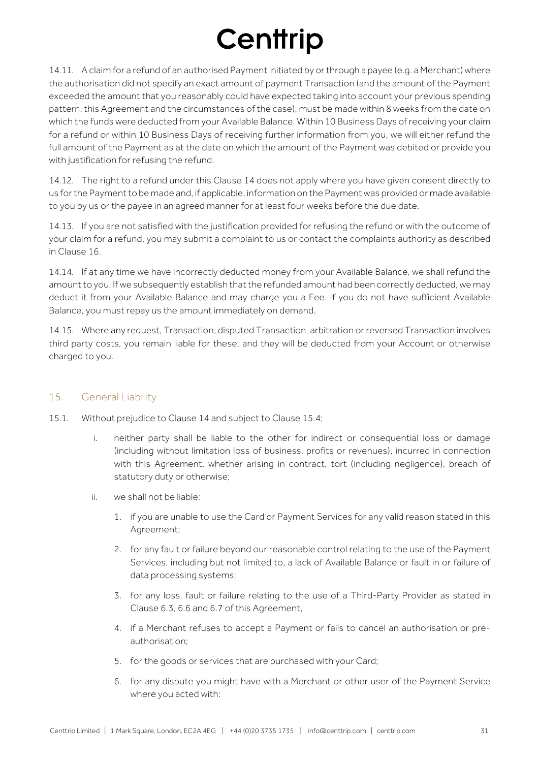14.11. A claim for a refund of an authorised Payment initiated by or through a payee (e.g. a Merchant) where the authorisation did not specify an exact amount of payment Transaction (and the amount of the Payment exceeded the amount that you reasonably could have expected taking into account your previous spending pattern, this Agreement and the circumstances of the case), must be made within 8 weeks from the date on which the funds were deducted from your Available Balance. Within 10 Business Days of receiving your claim for a refund or within 10 Business Days of receiving further information from you, we will either refund the full amount of the Payment as at the date on which the amount of the Payment was debited or provide you with justification for refusing the refund.

14.12. The right to a refund under this Clause 14 does not apply where you have given consent directly to us for the Payment to be made and, if applicable, information on the Payment was provided or made available to you by us or the payee in an agreed manner for at least four weeks before the due date.

14.13. If you are not satisfied with the justification provided for refusing the refund or with the outcome of your claim for a refund, you may submit a complaint to us or contact the complaints authority as described in Clause 16.

14.14. If at any time we have incorrectly deducted money from your Available Balance, we shall refund the amount to you. If we subsequently establish that the refunded amount had been correctly deducted, we may deduct it from your Available Balance and may charge you a Fee. If you do not have sufficient Available Balance, you must repay us the amount immediately on demand.

14.15. Where any request, Transaction, disputed Transaction, arbitration or reversed Transaction involves third party costs, you remain liable for these, and they will be deducted from your Account or otherwise charged to you.

### 15. General Liability

- 15.1. Without prejudice to Clause 14 and subject to Clause 15.4;
	- i. neither party shall be liable to the other for indirect or consequential loss or damage (including without limitation loss of business, profits or revenues), incurred in connection with this Agreement, whether arising in contract, tort (including negligence), breach of statutory duty or otherwise;
	- ii. we shall not be liable:
		- 1. if you are unable to use the Card or Payment Services for any valid reason stated in this Agreement;
		- 2. for any fault or failure beyond our reasonable control relating to the use of the Payment Services, including but not limited to, a lack of Available Balance or fault in or failure of data processing systems;
		- 3. for any loss, fault or failure relating to the use of a Third-Party Provider as stated in Clause 6.3, 6.6 and 6.7 of this Agreement,
		- 4. if a Merchant refuses to accept a Payment or fails to cancel an authorisation or preauthorisation;
		- 5. for the goods or services that are purchased with your Card;
		- 6. for any dispute you might have with a Merchant or other user of the Payment Service where you acted with: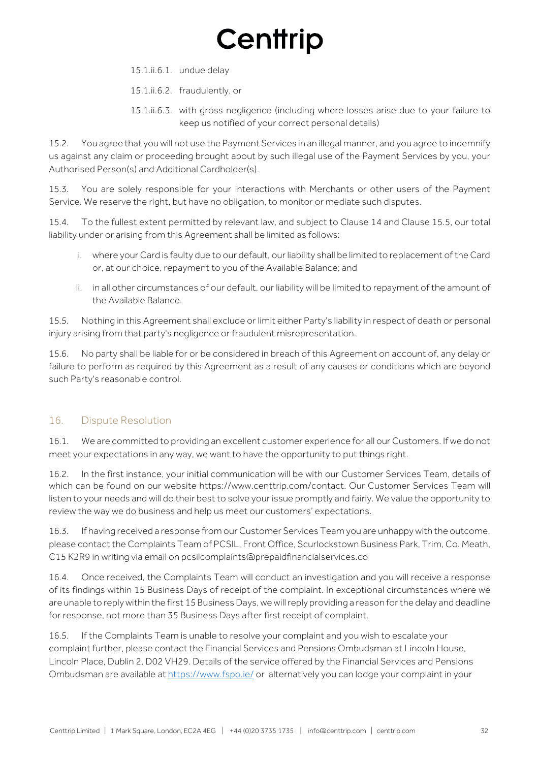15.1.ii.6.1. undue delay

15.1.ii.6.2. fraudulently, or

15.1.ii.6.3. with gross negligence (including where losses arise due to your failure to keep us notified of your correct personal details)

15.2. You agree that you will not use the Payment Services in an illegal manner, and you agree to indemnify us against any claim or proceeding brought about by such illegal use of the Payment Services by you, your Authorised Person(s) and Additional Cardholder(s).

15.3. You are solely responsible for your interactions with Merchants or other users of the Payment Service. We reserve the right, but have no obligation, to monitor or mediate such disputes.

15.4. To the fullest extent permitted by relevant law, and subject to Clause 14 and Clause 15.5, our total liability under or arising from this Agreement shall be limited as follows:

- i. where your Card is faulty due to our default, our liability shall be limited to replacement of the Card or, at our choice, repayment to you of the Available Balance; and
- ii. in all other circumstances of our default, our liability will be limited to repayment of the amount of the Available Balance.

15.5. Nothing in this Agreement shall exclude or limit either Party's liability in respect of death or personal injury arising from that party's negligence or fraudulent misrepresentation.

15.6. No party shall be liable for or be considered in breach of this Agreement on account of, any delay or failure to perform as required by this Agreement as a result of any causes or conditions which are beyond such Party's reasonable control.

### 16. Dispute Resolution

16.1. We are committed to providing an excellent customer experience for all our Customers. If we do not meet your expectations in any way, we want to have the opportunity to put things right.

16.2. In the first instance, your initial communication will be with our Customer Services Team, details of which can be found on our website https://www.centtrip.com/contact. Our Customer Services Team will listen to your needs and will do their best to solve your issue promptly and fairly. We value the opportunity to review the way we do business and help us meet our customers' expectations.

16.3. If having received a response from our Customer Services Team you are unhappy with the outcome, please contact the Complaints Team of PCSIL, Front Office, Scurlockstown Business Park, Trim, Co. Meath, C15 K2R9 in writing via email on pcsilcomplaints@prepaidfinancialservices.co

16.4. Once received, the Complaints Team will conduct an investigation and you will receive a response of its findings within 15 Business Days of receipt of the complaint. In exceptional circumstances where we are unable to reply within the first 15 Business Days, we will reply providing a reason for the delay and deadline for response, not more than 35 Business Days after first receipt of complaint.

16.5. If the Complaints Team is unable to resolve your complaint and you wish to escalate your complaint further, please contact the Financial Services and Pensions Ombudsman at Lincoln House, Lincoln Place, Dublin 2, D02 VH29. Details of the service offered by the Financial Services and Pensions Ombudsman are available at <https://www.fspo.ie/> or alternatively you can lodge your complaint in your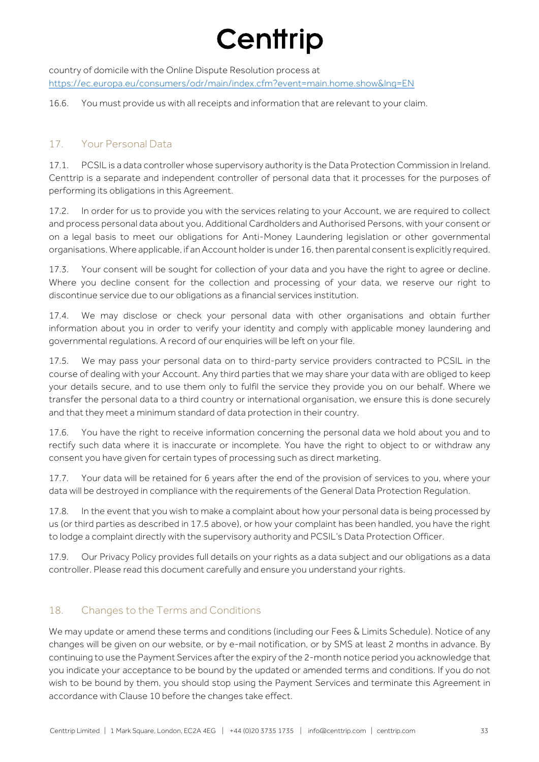country of domicile with the Online Dispute Resolution process at https://ec.europa.eu/consumers/odr/main/index.cfm?event=main.home.show&lng=EN

16.6. You must provide us with all receipts and information that are relevant to your claim.

### 17. Your Personal Data

17.1. PCSIL is a data controller whose supervisory authority is the Data Protection Commission in Ireland. Centtrip is a separate and independent controller of personal data that it processes for the purposes of performing its obligations in this Agreement.

17.2. In order for us to provide you with the services relating to your Account, we are required to collect and process personal data about you, Additional Cardholders and Authorised Persons, with your consent or on a legal basis to meet our obligations for Anti-Money Laundering legislation or other governmental organisations. Where applicable, if an Account holder is under 16, then parental consent is explicitly required.

17.3. Your consent will be sought for collection of your data and you have the right to agree or decline. Where you decline consent for the collection and processing of your data, we reserve our right to discontinue service due to our obligations as a financial services institution.

17.4. We may disclose or check your personal data with other organisations and obtain further information about you in order to verify your identity and comply with applicable money laundering and governmental regulations. A record of our enquiries will be left on your file.

17.5. We may pass your personal data on to third-party service providers contracted to PCSIL in the course of dealing with your Account. Any third parties that we may share your data with are obliged to keep your details secure, and to use them only to fulfil the service they provide you on our behalf. Where we transfer the personal data to a third country or international organisation, we ensure this is done securely and that they meet a minimum standard of data protection in their country.

17.6. You have the right to receive information concerning the personal data we hold about you and to rectify such data where it is inaccurate or incomplete. You have the right to object to or withdraw any consent you have given for certain types of processing such as direct marketing.

17.7. Your data will be retained for 6 years after the end of the provision of services to you, where your data will be destroyed in compliance with the requirements of the General Data Protection Regulation.

17.8. In the event that you wish to make a complaint about how your personal data is being processed by us (or third parties as described in 17.5 above), or how your complaint has been handled, you have the right to lodge a complaint directly with the supervisory authority and PCSIL's Data Protection Officer.

17.9. Our Privacy Policy provides full details on your rights as a data subject and our obligations as a data controller. Please read this document carefully and ensure you understand your rights.

### 18. Changes to the Terms and Conditions

We may update or amend these terms and conditions (including our Fees & Limits Schedule). Notice of any changes will be given on our website, or by e-mail notification, or by SMS at least 2 months in advance. By continuing to use the Payment Services after the expiry of the 2-month notice period you acknowledge that you indicate your acceptance to be bound by the updated or amended terms and conditions. If you do not wish to be bound by them, you should stop using the Payment Services and terminate this Agreement in accordance with Clause 10 before the changes take effect.